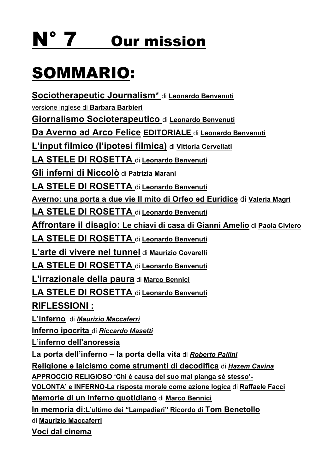# N° 7 Our mission

# SOMMARIO:

**Sociotherapeutic Journalism\*** di **Leonardo Benvenuti**

versione inglese di **Barbara Barbieri**

**Giornalismo Socioterapeutico** di **Leonardo Benvenuti**

**Da Averno ad Arco Felice EDITORIALE** di **Leonardo Benvenuti**

**L'input filmico (l'ipotesi filmica)** di **Vittoria Cervellati**

**LA STELE DI ROSETTA** di **Leonardo Benvenuti**

**Gli inferni di Niccolò** di **Patrizia Marani** 

**LA STELE DI ROSETTA** di **Leonardo Benvenuti**

**Averno: una porta a due vie Il mito di Orfeo ed Euridice** di **Valeria Magri**

**LA STELE DI ROSETTA** di **Leonardo Benvenuti**

**Affrontare il disagio: Le chiavi di casa di Gianni Amelio** di **Paola Civiero**

**LA STELE DI ROSETTA** di **Leonardo Benvenuti**

**L'arte di vivere nel tunnel** di **Maurizio Covarelli**

**LA STELE DI ROSETTA** di **Leonardo Benvenuti**

**L'irrazionale della paura** di **Marco Bennici**

**LA STELE DI ROSETTA** di **Leonardo Benvenuti**

**RIFLESSIONI :**

**L'inferno** di *Maurizio Maccaferri*

**Inferno ipocrita** di *Riccardo Masetti*

**L'inferno dell'anoressia**

**La porta dell'inferno – la porta della vita** di *Roberto Pallini*

**Religione e laicismo come strumenti di decodifica** di *Hazem Cavina*

**APPROCCIO RELIGIOSO 'Chi è causa del suo mal pianga sé stesso'-**

**VOLONTA' e INFERNO-La risposta morale come azione logica** di **Raffaele Facci**

**Memorie di un inferno quotidiano** di **Marco Bennici**

**In memoria di:L'ultimo dei "Lampadieri" Ricordo di Tom Benetollo**

di **Maurizio Maccaferri**

**Voci dal cinema**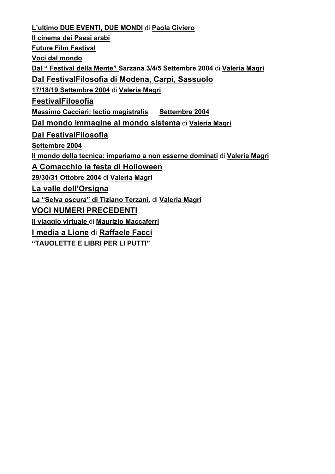**L'ultimo DUE EVENTI, DUE MONDI** di **Paola Civiero Il cinema dei Paesi arabi Future Film Festival Voci dal mondo Dal " Festival della Mente" Sarzana 3/4/5 Settembre 2004** di **Valeria Magri Dal FestivalFilosofia di Modena, Carpi, Sassuolo 17/18/19 Settembre 2004** di **Valeria Magri FestivalFilosofia Massimo Cacciari: lectio magistralis Settembre 2004 Dal mondo immagine al mondo sistema** di **Valeria Magri Dal FestivalFilosofia Settembre 2004 Il mondo della tecnica: impariamo a non esserne dominati** di **Valeria Magri A Comacchio la festa di Holloween 29/30/31 Ottobre 2004** di **Valeria Magri La valle dell'Orsigna La "Selva oscura" di Tiziano Terzani.** di **Valeria Magri VOCI NUMERI PRECEDENTI Il viaggio virtuale** di **Maurizio Maccaferri I media a Lione** di **Raffaele Facci "TAUOLETTE E LIBRI PER LI PUTTI"**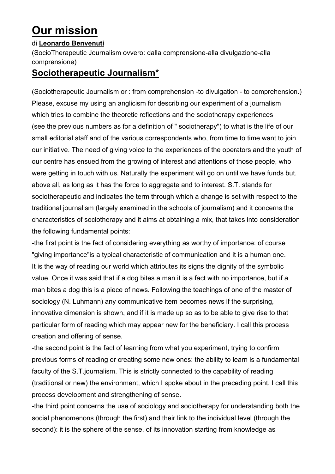# **Our mission**

#### di **Leonardo Benvenuti**

(SocioTherapeutic Journalism ovvero: dalla comprensione-alla divulgazione-alla comprensione)

# **Sociotherapeutic Journalism\***

(Sociotherapeutic Journalism or : from comprehension -to divulgation - to comprehension.) Please, excuse my using an anglicism for describing our experiment of a journalism which tries to combine the theoretic reflections and the sociotherapy experiences (see the previous numbers as for a definition of " sociotherapy") to what is the life of our small editorial staff and of the various correspondents who, from time to time want to join our initiative. The need of giving voice to the experiences of the operators and the youth of our centre has ensued from the growing of interest and attentions of those people, who were getting in touch with us. Naturally the experiment will go on until we have funds but, above all, as long as it has the force to aggregate and to interest. S.T. stands for sociotherapeutic and indicates the term through which a change is set with respect to the traditional journalism (largely examined in the schools of journalism) and it concerns the characteristics of sociotherapy and it aims at obtaining a mix, that takes into consideration the following fundamental points:

-the first point is the fact of considering everything as worthy of importance: of course "giving importance"is a typical characteristic of communication and it is a human one. It is the way of reading our world which attributes its signs the dignity of the symbolic value. Once it was said that if a dog bites a man it is a fact with no importance, but if a man bites a dog this is a piece of news. Following the teachings of one of the master of sociology (N. Luhmann) any communicative item becomes news if the surprising, innovative dimension is shown, and if it is made up so as to be able to give rise to that particular form of reading which may appear new for the beneficiary. I call this process creation and offering of sense.

-the second point is the fact of learning from what you experiment, trying to confirm previous forms of reading or creating some new ones: the ability to learn is a fundamental faculty of the S.T.journalism. This is strictly connected to the capability of reading (traditional or new) the environment, which I spoke about in the preceding point. I call this process development and strengthening of sense.

-the third point concerns the use of sociology and sociotherapy for understanding both the social phenomenons (through the first) and their link to the individual level (through the second): it is the sphere of the sense, of its innovation starting from knowledge as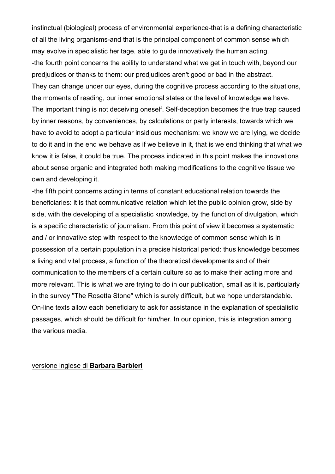instinctual (biological) process of environmental experience-that is a defining characteristic of all the living organisms-and that is the principal component of common sense which may evolve in specialistic heritage, able to guide innovatively the human acting. -the fourth point concerns the ability to understand what we get in touch with, beyond our predjudices or thanks to them: our predjudices aren't good or bad in the abstract. They can change under our eyes, during the cognitive process according to the situations, the moments of reading, our inner emotional states or the level of knowledge we have. The important thing is not deceiving oneself. Self-deception becomes the true trap caused by inner reasons, by conveniences, by calculations or party interests, towards which we have to avoid to adopt a particular insidious mechanism: we know we are lying, we decide to do it and in the end we behave as if we believe in it, that is we end thinking that what we know it is false, it could be true. The process indicated in this point makes the innovations about sense organic and integrated both making modifications to the cognitive tissue we own and developing it.

-the fifth point concerns acting in terms of constant educational relation towards the beneficiaries: it is that communicative relation which let the public opinion grow, side by side, with the developing of a specialistic knowledge, by the function of divulgation, which is a specific characteristic of journalism. From this point of view it becomes a systematic and / or innovative step with respect to the knowledge of common sense which is in possession of a certain population in a precise historical period: thus knowledge becomes a living and vital process, a function of the theoretical developments and of their communication to the members of a certain culture so as to make their acting more and more relevant. This is what we are trying to do in our publication, small as it is, particularly in the survey "The Rosetta Stone" which is surely difficult, but we hope understandable. On-line texts allow each beneficiary to ask for assistance in the explanation of specialistic passages, which should be difficult for him/her. In our opinion, this is integration among the various media.

#### versione inglese di **Barbara Barbieri**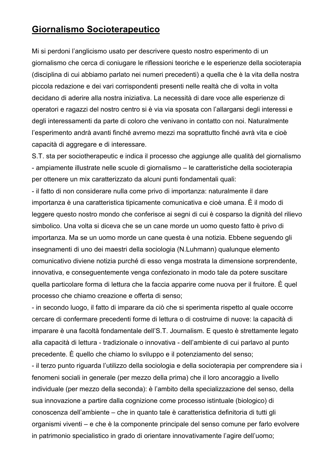# **Giornalismo Socioterapeutico**

Mi si perdoni l'anglicismo usato per descrivere questo nostro esperimento di un giornalismo che cerca di coniugare le riflessioni teoriche e le esperienze della socioterapia (disciplina di cui abbiamo parlato nei numeri precedenti) a quella che è la vita della nostra piccola redazione e dei vari corrispondenti presenti nelle realtà che di volta in volta decidano di aderire alla nostra iniziativa. La necessità di dare voce alle esperienze di operatori e ragazzi del nostro centro si è via via sposata con l'allargarsi degli interessi e degli interessamenti da parte di coloro che venivano in contatto con noi. Naturalmente l'esperimento andrà avanti finché avremo mezzi ma soprattutto finché avrà vita e cioè capacità di aggregare e di interessare.

S.T. sta per sociotherapeutic e indica il processo che aggiunge alle qualità del giornalismo - ampiamente illustrate nelle scuole di giornalismo – le caratteristiche della socioterapia per ottenere un mix caratterizzato da alcuni punti fondamentali quali:

- il fatto di non considerare nulla come privo di importanza: naturalmente il dare importanza è una caratteristica tipicamente comunicativa e cioè umana. È il modo di leggere questo nostro mondo che conferisce ai segni di cui è cosparso la dignità del rilievo simbolico. Una volta si diceva che se un cane morde un uomo questo fatto è privo di importanza. Ma se un uomo morde un cane questa è una notizia. Ebbene seguendo gli insegnamenti di uno dei maestri della sociologia (N.Luhmann) qualunque elemento comunicativo diviene notizia purché di esso venga mostrata la dimensione sorprendente, innovativa, e conseguentemente venga confezionato in modo tale da potere suscitare quella particolare forma di lettura che la faccia apparire come nuova per il fruitore. È quel processo che chiamo creazione e offerta di senso;

- in secondo luogo, il fatto di imparare da ciò che si sperimenta rispetto al quale occorre cercare di confermare precedenti forme di lettura o di costruirne di nuove: la capacità di imparare è una facoltà fondamentale dell'S.T. Journalism. E questo è strettamente legato alla capacità di lettura - tradizionale o innovativa - dell'ambiente di cui parlavo al punto precedente. È quello che chiamo lo sviluppo e il potenziamento del senso;

- il terzo punto riguarda l'utilizzo della sociologia e della socioterapia per comprendere sia i fenomeni sociali in generale (per mezzo della prima) che il loro ancoraggio a livello individuale (per mezzo della seconda): è l'ambito della specializzazione del senso, della sua innovazione a partire dalla cognizione come processo istintuale (biologico) di conoscenza dell'ambiente – che in quanto tale è caratteristica definitoria di tutti gli organismi viventi – e che è la componente principale del senso comune per farlo evolvere in patrimonio specialistico in grado di orientare innovativamente l'agire dell'uomo;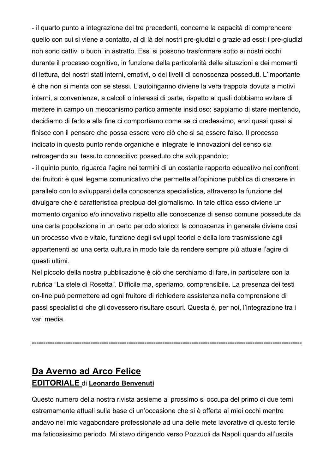- il quarto punto a integrazione dei tre precedenti, concerne la capacità di comprendere quello con cui si viene a contatto, al di là dei nostri pre-giudizi o grazie ad essi: i pre-giudizi non sono cattivi o buoni in astratto. Essi si possono trasformare sotto ai nostri occhi, durante il processo cognitivo, in funzione della particolarità delle situazioni e dei momenti di lettura, dei nostri stati interni, emotivi, o dei livelli di conoscenza posseduti. L'importante è che non si menta con se stessi. L'autoinganno diviene la vera trappola dovuta a motivi interni, a convenienze, a calcoli o interessi di parte, rispetto ai quali dobbiamo evitare di mettere in campo un meccanismo particolarmente insidioso: sappiamo di stare mentendo, decidiamo di farlo e alla fine ci comportiamo come se ci credessimo, anzi quasi quasi si finisce con il pensare che possa essere vero ciò che si sa essere falso. Il processo indicato in questo punto rende organiche e integrate le innovazioni del senso sia retroagendo sul tessuto conoscitivo posseduto che sviluppandolo;

- il quinto punto, riguarda l'agire nei termini di un costante rapporto educativo nei confronti dei fruitori: è quel legame comunicativo che permette all'opinione pubblica di crescere in parallelo con lo svilupparsi della conoscenza specialistica, attraverso la funzione del divulgare che è caratteristica precipua del giornalismo. In tale ottica esso diviene un momento organico e/o innovativo rispetto alle conoscenze di senso comune possedute da una certa popolazione in un certo periodo storico: la conoscenza in generale diviene così un processo vivo e vitale, funzione degli sviluppi teorici e della loro trasmissione agli appartenenti ad una certa cultura in modo tale da rendere sempre più attuale l'agire di questi ultimi.

Nel piccolo della nostra pubblicazione è ciò che cerchiamo di fare, in particolare con la rubrica "La stele di Rosetta". Difficile ma, speriamo, comprensibile. La presenza dei testi on-line può permettere ad ogni fruitore di richiedere assistenza nella comprensione di passi specialistici che gli dovessero risultare oscuri. Questa è, per noi, l'integrazione tra i vari media.

**------------------------------------------------------------------------------------------------------------------------**

# **Da Averno ad Arco Felice EDITORIALE** di **Leonardo Benvenuti**

Questo numero della nostra rivista assieme al prossimo si occupa del primo di due temi estremamente attuali sulla base di un'occasione che si è offerta ai miei occhi mentre andavo nel mio vagabondare professionale ad una delle mete lavorative di questo fertile ma faticosissimo periodo. Mi stavo dirigendo verso Pozzuoli da Napoli quando all'uscita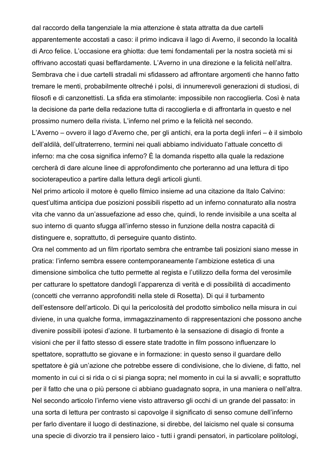dal raccordo della tangenziale la mia attenzione è stata attratta da due cartelli apparentemente accostati a caso: il primo indicava il lago di Averno, il secondo la località di Arco felice. L'occasione era ghiotta: due temi fondamentali per la nostra società mi si offrivano accostati quasi beffardamente. L'Averno in una direzione e la felicità nell'altra. Sembrava che i due cartelli stradali mi sfidassero ad affrontare argomenti che hanno fatto tremare le menti, probabilmente oltreché i polsi, di innumerevoli generazioni di studiosi, di filosofi e di canzonettisti. La sfida era stimolante: impossibile non raccoglierla. Così è nata la decisione da parte della redazione tutta di raccoglierla e di affrontarla in questo e nel prossimo numero della rivista. L'inferno nel primo e la felicità nel secondo.

L'Averno – ovvero il lago d'Averno che, per gli antichi, era la porta degli inferi – è il simbolo dell'aldilà, dell'ultraterreno, termini nei quali abbiamo individuato l'attuale concetto di inferno: ma che cosa significa inferno? È la domanda rispetto alla quale la redazione cercherà di dare alcune linee di approfondimento che porteranno ad una lettura di tipo socioterapeutico a partire dalla lettura degli articoli giunti.

Nel primo articolo il motore è quello filmico insieme ad una citazione da Italo Calvino: quest'ultima anticipa due posizioni possibili rispetto ad un inferno connaturato alla nostra vita che vanno da un'assuefazione ad esso che, quindi, lo rende invisibile a una scelta al suo interno di quanto sfugga all'inferno stesso in funzione della nostra capacità di distinguere e, soprattutto, di perseguire quanto distinto.

Ora nel commento ad un film riportato sembra che entrambe tali posizioni siano messe in pratica: l'inferno sembra essere contemporaneamente l'ambizione estetica di una dimensione simbolica che tutto permette al regista e l'utilizzo della forma del verosimile per catturare lo spettatore dandogli l'apparenza di verità e di possibilità di accadimento (concetti che verranno approfonditi nella stele di Rosetta). Di qui il turbamento dell'estensore dell'articolo. Di qui la pericolosità del prodotto simbolico nella misura in cui diviene, in una qualche forma, immagazzinamento di rappresentazioni che possono anche divenire possibili ipotesi d'azione. Il turbamento è la sensazione di disagio di fronte a visioni che per il fatto stesso di essere state tradotte in film possono influenzare lo spettatore, soprattutto se giovane e in formazione: in questo senso il guardare dello spettatore è già un'azione che potrebbe essere di condivisione, che lo diviene, di fatto, nel momento in cui ci si rida o ci si pianga sopra; nel momento in cui la si avvalli; e soprattutto per il fatto che una o più persone ci abbiano guadagnato sopra, in una maniera o nell'altra. Nel secondo articolo l'inferno viene visto attraverso gli occhi di un grande del passato: in una sorta di lettura per contrasto si capovolge il significato di senso comune dell'inferno per farlo diventare il luogo di destinazione, si direbbe, del laicismo nel quale si consuma una specie di divorzio tra il pensiero laico - tutti i grandi pensatori, in particolare politologi,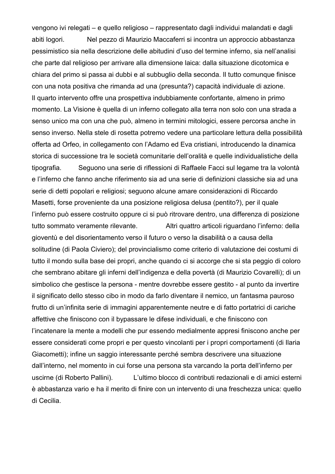vengono ivi relegati – e quello religioso – rappresentato dagli individui malandati e dagli abiti logori. Nel pezzo di Maurizio Maccaferri si incontra un approccio abbastanza pessimistico sia nella descrizione delle abitudini d'uso del termine inferno, sia nell'analisi che parte dal religioso per arrivare alla dimensione laica: dalla situazione dicotomica e chiara del primo si passa ai dubbi e al subbuglio della seconda. Il tutto comunque finisce con una nota positiva che rimanda ad una (presunta?) capacità individuale di azione. Il quarto intervento offre una prospettiva indubbiamente confortante, almeno in primo momento. La Visione è quella di un inferno collegato alla terra non solo con una strada a senso unico ma con una che può, almeno in termini mitologici, essere percorsa anche in senso inverso. Nella stele di rosetta potremo vedere una particolare lettura della possibilità offerta ad Orfeo, in collegamento con l'Adamo ed Eva cristiani, introducendo la dinamica storica di successione tra le società comunitarie dell'oralità e quelle individualistiche della tipografia. Seguono una serie di riflessioni di Raffaele Facci sul legame tra la volontà e l'inferno che fanno anche riferimento sia ad una serie di definizioni classiche sia ad una serie di detti popolari e religiosi; seguono alcune amare considerazioni di Riccardo Masetti, forse proveniente da una posizione religiosa delusa (pentito?), per il quale l'inferno può essere costruito oppure ci si può ritrovare dentro, una differenza di posizione tutto sommato veramente rilevante. Altri quattro articoli riguardano l'inferno: della gioventù e del disorientamento verso il futuro o verso la disabilità o a causa della solitudine (di Paola Civiero); del provincialismo come criterio di valutazione dei costumi di tutto il mondo sulla base dei propri, anche quando ci si accorge che si sta peggio di coloro che sembrano abitare gli inferni dell'indigenza e della povertà (di Maurizio Covarelli); di un simbolico che gestisce la persona - mentre dovrebbe essere gestito - al punto da invertire il significato dello stesso cibo in modo da farlo diventare il nemico, un fantasma pauroso frutto di un'infinita serie di immagini apparentemente neutre e di fatto portatrici di cariche affettive che finiscono con il bypassare le difese individuali, e che finiscono con l'incatenare la mente a modelli che pur essendo medialmente appresi finiscono anche per essere considerati come propri e per questo vincolanti per i propri comportamenti (di Ilaria Giacometti); infine un saggio interessante perché sembra descrivere una situazione dall'interno, nel momento in cui forse una persona sta varcando la porta dell'inferno per uscirne (di Roberto Pallini). L'ultimo blocco di contributi redazionali e di amici esterni è abbastanza vario e ha il merito di finire con un intervento di una freschezza unica: quello di Cecilia.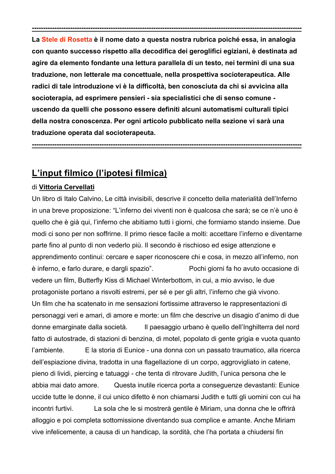**La Stele di Rosetta è il nome dato a questa nostra rubrica poiché essa, in analogia con quanto successo rispetto alla decodifica dei geroglifici egiziani, è destinata ad agire da elemento fondante una lettura parallela di un testo, nei termini di una sua traduzione, non letterale ma concettuale, nella prospettiva socioterapeutica. Alle radici di tale introduzione vi è la difficoltà, ben conosciuta da chi si avvicina alla socioterapia, ad esprimere pensieri - sia specialistici che di senso comune uscendo da quelli che possono essere definiti alcuni automatismi culturali tipici della nostra conoscenza. Per ogni articolo pubblicato nella sezione vi sarà una traduzione operata dal socioterapeuta.**

**------------------------------------------------------------------------------------------------------------------------**

**------------------------------------------------------------------------------------------------------------------------**

# **L'input filmico (l'ipotesi filmica)**

#### di **Vittoria Cervellati**

Un libro di Italo Calvino, Le città invisibili, descrive il concetto della materialità dell'Inferno in una breve proposizione: "L'inferno dei viventi non è qualcosa che sarà; se ce n'è uno è quello che è già qui, l'inferno che abitiamo tutti i giorni, che formiamo stando insieme. Due modi ci sono per non soffrirne. Il primo riesce facile a molti: accettare l'inferno e diventarne parte fino al punto di non vederlo più. Il secondo è rischioso ed esige attenzione e apprendimento continui: cercare e saper riconoscere chi e cosa, in mezzo all'inferno, non è inferno, e farlo durare, e dargli spazio". Pochi giorni fa ho avuto occasione di vedere un film, Butterfly Kiss di Michael Winterbottom, in cui, a mio avviso, le due protagoniste portano a risvolti estremi, per sé e per gli altri, l'inferno che già vivono. Un film che ha scatenato in me sensazioni fortissime attraverso le rappresentazioni di personaggi veri e amari, di amore e morte: un film che descrive un disagio d'animo di due donne emarginate dalla società. Il paesaggio urbano è quello dell'Inghilterra del nord fatto di autostrade, di stazioni di benzina, di motel, popolato di gente grigia e vuota quanto l'ambiente. E la storia di Eunice - una donna con un passato traumatico, alla ricerca dell'espiazione divina, tradotta in una flagellazione di un corpo, aggrovigliato in catene, pieno di lividi, piercing e tatuaggi - che tenta di ritrovare Judith, l'unica persona che le abbia mai dato amore. Questa inutile ricerca porta a conseguenze devastanti: Eunice uccide tutte le donne, il cui unico difetto è non chiamarsi Judith e tutti gli uomini con cui ha incontri furtivi. La sola che le si mostrerà gentile è Miriam, una donna che le offrirà alloggio e poi completa sottomissione diventando sua complice e amante. Anche Miriam vive infelicemente, a causa di un handicap, la sordità, che l'ha portata a chiudersi fin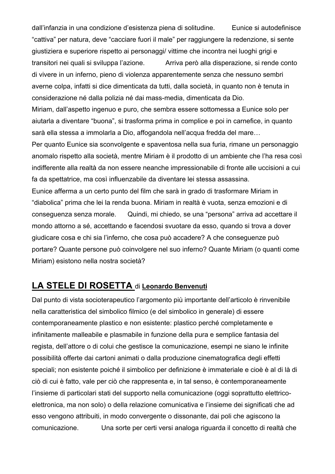dall'infanzia in una condizione d'esistenza piena di solitudine. Eunice si autodefinisce "cattiva" per natura, deve "cacciare fuori il male" per raggiungere la redenzione, si sente giustiziera e superiore rispetto ai personaggi/ vittime che incontra nei luoghi grigi e transitori nei quali si sviluppa l'azione. Arriva però alla disperazione, si rende conto di vivere in un inferno, pieno di violenza apparentemente senza che nessuno sembri averne colpa, infatti si dice dimenticata da tutti, dalla società, in quanto non è tenuta in considerazione né dalla polizia né dai mass-media, dimenticata da Dio.

Miriam, dall'aspetto ingenuo e puro, che sembra essere sottomessa a Eunice solo per aiutarla a diventare "buona", si trasforma prima in complice e poi in carnefice, in quanto sarà ella stessa a immolarla a Dio, affogandola nell'acqua fredda del mare…

Per quanto Eunice sia sconvolgente e spaventosa nella sua furia, rimane un personaggio anomalo rispetto alla società, mentre Miriam è il prodotto di un ambiente che l'ha resa così indifferente alla realtà da non essere neanche impressionabile di fronte alle uccisioni a cui fa da spettatrice, ma così influenzabile da diventare lei stessa assassina.

Eunice afferma a un certo punto del film che sarà in grado di trasformare Miriam in "diabolica" prima che lei la renda buona. Miriam in realtà è vuota, senza emozioni e di conseguenza senza morale. Quindi, mi chiedo, se una "persona" arriva ad accettare il mondo attorno a sé, accettando e facendosi svuotare da esso, quando si trova a dover giudicare cosa e chi sia l'inferno, che cosa può accadere? A che conseguenze può portare? Quante persone può coinvolgere nel suo inferno? Quante Miriam (o quanti come Miriam) esistono nella nostra società?

# **LA STELE DI ROSETTA** di **Leonardo Benvenuti**

Dal punto di vista socioterapeutico l'argomento più importante dell'articolo è rinvenibile nella caratteristica del simbolico filmico (e del simbolico in generale) di essere contemporaneamente plastico e non esistente: plastico perché completamente e infinitamente malleabile e plasmabile in funzione della pura e semplice fantasia del regista, dell'attore o di colui che gestisce la comunicazione, esempi ne siano le infinite possibilità offerte dai cartoni animati o dalla produzione cinematografica degli effetti speciali; non esistente poiché il simbolico per definizione è immateriale e cioè è al di là di ciò di cui è fatto, vale per ciò che rappresenta e, in tal senso, è contemporaneamente l'insieme di particolari stati del supporto nella comunicazione (oggi soprattutto elettricoelettronica, ma non solo) o della relazione comunicativa e l'insieme dei significati che ad esso vengono attribuiti, in modo convergente o dissonante, dai poli che agiscono la comunicazione. Una sorte per certi versi analoga riguarda il concetto di realtà che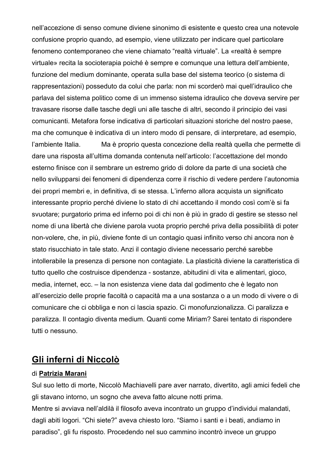nell'accezione di senso comune diviene sinonimo di esistente e questo crea una notevole confusione proprio quando, ad esempio, viene utilizzato per indicare quel particolare fenomeno contemporaneo che viene chiamato "realtà virtuale". La «realtà è sempre virtuale» recita la socioterapia poiché è sempre e comunque una lettura dell'ambiente, funzione del medium dominante, operata sulla base del sistema teorico (o sistema di rappresentazioni) posseduto da colui che parla: non mi scorderò mai quell'idraulico che parlava del sistema politico come di un immenso sistema idraulico che doveva servire per travasare risorse dalle tasche degli uni alle tasche di altri, secondo il principio dei vasi comunicanti. Metafora forse indicativa di particolari situazioni storiche del nostro paese, ma che comunque è indicativa di un intero modo di pensare, di interpretare, ad esempio, l'ambiente Italia. Ma è proprio questa concezione della realtà quella che permette di dare una risposta all'ultima domanda contenuta nell'articolo: l'accettazione del mondo esterno finisce con il sembrare un estremo grido di dolore da parte di una società che nello svilupparsi dei fenomeni di dipendenza corre il rischio di vedere perdere l'autonomia dei propri membri e, in definitiva, di se stessa. L'inferno allora acquista un significato interessante proprio perché diviene lo stato di chi accettando il mondo così com'è si fa svuotare; purgatorio prima ed inferno poi di chi non è più in grado di gestire se stesso nel nome di una libertà che diviene parola vuota proprio perché priva della possibilità di poter non-volere, che, in più, diviene fonte di un contagio quasi infinito verso chi ancora non è stato risucchiato in tale stato. Anzi il contagio diviene necessario perché sarebbe intollerabile la presenza di persone non contagiate. La plasticità diviene la caratteristica di tutto quello che costruisce dipendenza - sostanze, abitudini di vita e alimentari, gioco, media, internet, ecc. – la non esistenza viene data dal godimento che è legato non all'esercizio delle proprie facoltà o capacità ma a una sostanza o a un modo di vivere o di comunicare che ci obbliga e non ci lascia spazio. Ci monofunzionalizza. Ci paralizza e paralizza. Il contagio diventa medium. Quanti come Miriam? Sarei tentato di rispondere tutti o nessuno.

# **Gli inferni di Niccolò**

#### di **Patrizia Marani**

Sul suo letto di morte, Niccolò Machiavelli pare aver narrato, divertito, agli amici fedeli che gli stavano intorno, un sogno che aveva fatto alcune notti prima.

Mentre si avviava nell'aldilà il filosofo aveva incontrato un gruppo d'individui malandati, dagli abiti logori. "Chi siete?" aveva chiesto loro. "Siamo i santi e i beati, andiamo in paradiso", gli fu risposto. Procedendo nel suo cammino incontrò invece un gruppo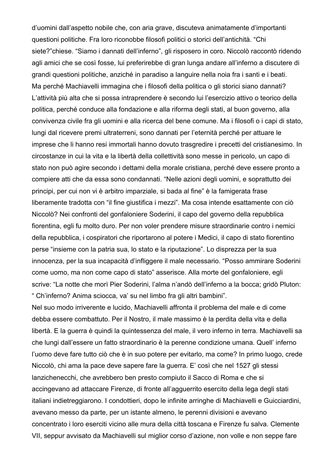d'uomini dall'aspetto nobile che, con aria grave, discuteva animatamente d'importanti questioni politiche. Fra loro riconobbe filosofi politici o storici dell'antichità. "Chi siete?"chiese. "Siamo i dannati dell'inferno", gli risposero in coro. Niccolò raccontò ridendo agli amici che se così fosse, lui preferirebbe di gran lunga andare all'inferno a discutere di grandi questioni politiche, anziché in paradiso a languire nella noia fra i santi e i beati. Ma perché Machiavelli immagina che i filosofi della politica o gli storici siano dannati? L'attività più alta che si possa intraprendere è secondo lui l'esercizio attivo o teorico della politica, perché conduce alla fondazione e alla riforma degli stati, al buon governo, alla convivenza civile fra gli uomini e alla ricerca del bene comune. Ma i filosofi o i capi di stato, lungi dal ricevere premi ultraterreni, sono dannati per l'eternità perché per attuare le imprese che li hanno resi immortali hanno dovuto trasgredire i precetti del cristianesimo. In circostanze in cui la vita e la libertà della collettività sono messe in pericolo, un capo di stato non può agire secondo i dettami della morale cristiana, perché deve essere pronto a compiere atti che da essa sono condannati. "Nelle azioni degli uomini, e soprattutto dei principi, per cui non vi è arbitro imparziale, si bada al fine" è la famigerata frase liberamente tradotta con "il fine giustifica i mezzi". Ma cosa intende esattamente con ciò Niccolò? Nei confronti del gonfaloniere Soderini, il capo del governo della repubblica fiorentina, egli fu molto duro. Per non voler prendere misure straordinarie contro i nemici della repubblica, i cospiratori che riportarono al potere i Medici, il capo di stato fiorentino perse "insieme con la patria sua, lo stato e la riputazione". Lo disprezza per la sua innocenza, per la sua incapacità d'infliggere il male necessario. "Posso ammirare Soderini come uomo, ma non come capo di stato" asserisce. Alla morte del gonfaloniere, egli scrive: "La notte che morì Pier Soderini, l'alma n'andò dell'inferno a la bocca; gridò Pluton: " Ch'inferno? Anima sciocca, va' su nel limbo fra gli altri bambini".

Nel suo modo irriverente e lucido, Machiavelli affronta il problema del male e di come debba essere combattuto. Per il Nostro, il male massimo è la perdita della vita e della libertà. E la guerra è quindi la quintessenza del male, il vero inferno in terra. Machiavelli sa che lungi dall'essere un fatto straordinario è la perenne condizione umana. Quell' inferno l'uomo deve fare tutto ciò che è in suo potere per evitarlo, ma come? In primo luogo, crede Niccolò, chi ama la pace deve sapere fare la guerra. E' così che nel 1527 gli stessi lanzichenecchi, che avrebbero ben presto compiuto il Sacco di Roma e che si accingevano ad attaccare Firenze, di fronte all'agguerrito esercito della lega degli stati italiani indietreggiarono. I condottieri, dopo le infinite arringhe di Machiavelli e Guicciardini, avevano messo da parte, per un istante almeno, le perenni divisioni e avevano concentrato i loro eserciti vicino alle mura della città toscana e Firenze fu salva. Clemente VII, seppur avvisato da Machiavelli sul miglior corso d'azione, non volle e non seppe fare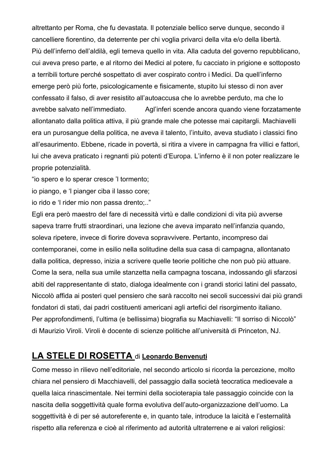altrettanto per Roma, che fu devastata. Il potenziale bellico serve dunque, secondo il cancelliere fiorentino, da deterrente per chi voglia privarci della vita e/o della libertà. Più dell'inferno dell'aldilà, egli temeva quello in vita. Alla caduta del governo repubblicano, cui aveva preso parte, e al ritorno dei Medici al potere, fu cacciato in prigione e sottoposto a terribili torture perché sospettato di aver cospirato contro i Medici. Da quell'inferno emerge però più forte, psicologicamente e fisicamente, stupito lui stesso di non aver confessato il falso, di aver resistito all'autoaccusa che lo avrebbe perduto, ma che lo avrebbe salvato nell'immediato. Agl'inferi scende ancora quando viene forzatamente allontanato dalla politica attiva, il più grande male che potesse mai capitargli. Machiavelli era un purosangue della politica, ne aveva il talento, l'intuito, aveva studiato i classici fino all'esaurimento. Ebbene, ricade in povertà, si ritira a vivere in campagna fra villici e fattori, lui che aveva praticato i regnanti più potenti d'Europa. L'inferno è il non poter realizzare le proprie potenzialità.

"io spero e lo sperar cresce 'l tormento;

io piango, e 'l pianger ciba il lasso core;

io rido e 'l rider mio non passa drento;.."

Egli era però maestro del fare di necessità virtù e dalle condizioni di vita più avverse sapeva trarre frutti straordinari, una lezione che aveva imparato nell'infanzia quando, soleva ripetere, invece di fiorire doveva sopravvivere. Pertanto, incompreso dai contemporanei, come in esilio nella solitudine della sua casa di campagna, allontanato dalla politica, depresso, inizia a scrivere quelle teorie politiche che non può più attuare. Come la sera, nella sua umile stanzetta nella campagna toscana, indossando gli sfarzosi abiti del rappresentante di stato, dialoga idealmente con i grandi storici latini del passato, Niccolò affida ai posteri quel pensiero che sarà raccolto nei secoli successivi dai più grandi fondatori di stati, dai padri costituenti americani agli artefici del risorgimento italiano. Per approfondimenti, l'ultima (e bellissima) biografia su Machiavelli: "Il sorriso di Niccolò" di Maurizio Viroli. Viroli è docente di scienze politiche all'università di Princeton, NJ.

## **LA STELE DI ROSETTA** di **Leonardo Benvenuti**

Come messo in rilievo nell'editoriale, nel secondo articolo si ricorda la percezione, molto chiara nel pensiero di Macchiavelli, del passaggio dalla società teocratica medioevale a quella laica rinascimentale. Nei termini della socioterapia tale passaggio coincide con la nascita della soggettività quale forma evolutiva dell'auto-organizzazione dell'uomo. La soggettività è di per sé autoreferente e, in quanto tale, introduce la laicità e l'esternalità rispetto alla referenza e cioè al riferimento ad autorità ultraterrene e ai valori religiosi: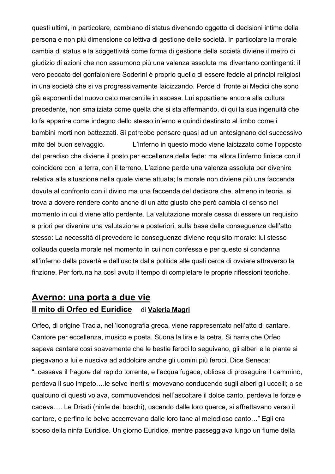questi ultimi, in particolare, cambiano di status divenendo oggetto di decisioni intime della persona e non più dimensione collettiva di gestione delle società. In particolare la morale cambia di status e la soggettività come forma di gestione della società diviene il metro di giudizio di azioni che non assumono più una valenza assoluta ma diventano contingenti: il vero peccato del gonfaloniere Soderini è proprio quello di essere fedele ai principi religiosi in una società che si va progressivamente laicizzando. Perde di fronte ai Medici che sono già esponenti del nuovo ceto mercantile in ascesa. Lui appartiene ancora alla cultura precedente, non smaliziata come quella che si sta affermando, di qui la sua ingenuità che lo fa apparire come indegno dello stesso inferno e quindi destinato al limbo come i bambini morti non battezzati. Si potrebbe pensare quasi ad un antesignano del successivo mito del buon selvaggio. L'inferno in questo modo viene laicizzato come l'opposto del paradiso che diviene il posto per eccellenza della fede: ma allora l'inferno finisce con il coincidere con la terra, con il terreno. L'azione perde una valenza assoluta per divenire relativa alla situazione nella quale viene attuata; la morale non diviene più una faccenda dovuta al confronto con il divino ma una faccenda del decisore che, almeno in teoria, si trova a dovere rendere conto anche di un atto giusto che però cambia di senso nel momento in cui diviene atto perdente. La valutazione morale cessa di essere un requisito a priori per divenire una valutazione a posteriori, sulla base delle conseguenze dell'atto stesso: La necessità di prevedere le conseguenze diviene requisito morale: lui stesso collauda questa morale nel momento in cui non confessa e per questo si condanna all'inferno della povertà e dell'uscita dalla politica alle quali cerca di ovviare attraverso la finzione. Per fortuna ha così avuto il tempo di completare le proprie riflessioni teoriche.

# **Averno: una porta a due vie Il mito di Orfeo ed Euridice** di **Valeria Magri**

Orfeo, di origine Tracia, nell'iconografia greca, viene rappresentato nell'atto di cantare. Cantore per eccellenza, musico e poeta. Suona la lira e la cetra. Si narra che Orfeo sapeva cantare così soavemente che le bestie feroci lo seguivano, gli alberi e le piante si piegavano a lui e riusciva ad addolcire anche gli uomini più feroci. Dice Seneca: "..cessava il fragore del rapido torrente, e l'acqua fugace, obliosa di proseguire il cammino, perdeva il suo impeto….le selve inerti si movevano conducendo sugli alberi gli uccelli; o se qualcuno di questi volava, commuovendosi nell'ascoltare il dolce canto, perdeva le forze e cadeva…. Le Driadi (ninfe dei boschi), uscendo dalle loro querce, si affrettavano verso il cantore, e perfino le belve accorrevano dalle loro tane al melodioso canto…" Egli era sposo della ninfa Euridice. Un giorno Euridice, mentre passeggiava lungo un fiume della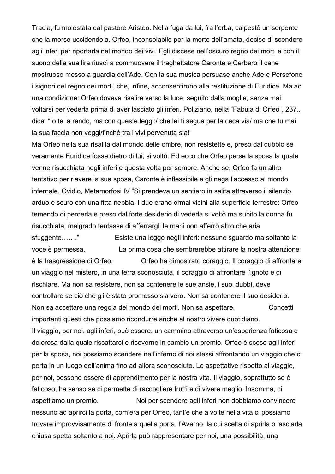Tracia, fu molestata dal pastore Aristeo. Nella fuga da lui, fra l'erba, calpestò un serpente che la morse uccidendola. Orfeo, inconsolabile per la morte dell'amata, decise di scendere agli inferi per riportarla nel mondo dei vivi. Egli discese nell'oscuro regno dei morti e con il suono della sua lira riuscì a commuovere il traghettatore Caronte e Cerbero il cane mostruoso messo a guardia dell'Ade. Con la sua musica persuase anche Ade e Persefone i signori del regno dei morti, che, infine, acconsentirono alla restituzione di Euridice. Ma ad una condizione: Orfeo doveva risalire verso la luce, seguito dalla moglie, senza mai voltarsi per vederla prima di aver lasciato gli inferi. Poliziano, nella "Fabula di Orfeo", 237.. dice: "Io te la rendo, ma con queste leggi:/ che lei ti segua per la ceca via/ ma che tu mai la sua faccia non veggi/finchè tra i vivi pervenuta sia!"

Ma Orfeo nella sua risalita dal mondo delle ombre, non resistette e, preso dal dubbio se veramente Euridice fosse dietro di lui, si voltò. Ed ecco che Orfeo perse la sposa la quale venne risucchiata negli inferi e questa volta per sempre. Anche se, Orfeo fa un altro tentativo per riavere la sua sposa, Caronte è inflessibile e gli nega l'accesso al mondo infernale. Ovidio, Metamorfosi IV "Si prendeva un sentiero in salita attraverso il silenzio, arduo e scuro con una fitta nebbia. I due erano ormai vicini alla superficie terrestre: Orfeo temendo di perderla e preso dal forte desiderio di vederla si voltò ma subito la donna fu risucchiata, malgrado tentasse di afferrargli le mani non afferrò altro che aria sfuggente……." Esiste una legge negli inferi: nessuno sguardo ma soltanto la voce è permessa. La prima cosa che sembrerebbe attirare la nostra attenzione è la trasgressione di Orfeo. Orfeo ha dimostrato coraggio. Il coraggio di affrontare un viaggio nel mistero, in una terra sconosciuta, il coraggio di affrontare l'ignoto e di rischiare. Ma non sa resistere, non sa contenere le sue ansie, i suoi dubbi, deve controllare se ciò che gli è stato promesso sia vero. Non sa contenere il suo desiderio. Non sa accettare una regola del mondo dei morti. Non sa aspettare. Concetti importanti questi che possiamo ricondurre anche al nostro vivere quotidiano. Il viaggio, per noi, agli inferi, può essere, un cammino attraverso un'esperienza faticosa e dolorosa dalla quale riscattarci e riceverne in cambio un premio. Orfeo è sceso agli inferi per la sposa, noi possiamo scendere nell'inferno di noi stessi affrontando un viaggio che ci porta in un luogo dell'anima fino ad allora sconosciuto. Le aspettative rispetto al viaggio, per noi, possono essere di apprendimento per la nostra vita. Il viaggio, soprattutto se è faticoso, ha senso se ci permette di raccogliere frutti e di vivere meglio. Insomma, ci aspettiamo un premio. Noi per scendere agli inferi non dobbiamo convincere nessuno ad aprirci la porta, com'era per Orfeo, tant'è che a volte nella vita ci possiamo trovare improvvisamente di fronte a quella porta, l'Averno, la cui scelta di aprirla o lasciarla chiusa spetta soltanto a noi. Aprirla può rappresentare per noi, una possibilità, una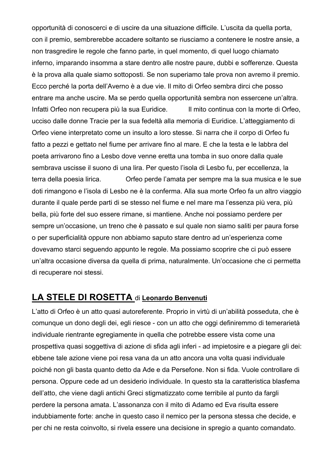opportunità di conoscerci e di uscire da una situazione difficile. L'uscita da quella porta, con il premio, sembrerebbe accadere soltanto se riusciamo a contenere le nostre ansie, a non trasgredire le regole che fanno parte, in quel momento, di quel luogo chiamato inferno, imparando insomma a stare dentro alle nostre paure, dubbi e sofferenze. Questa è la prova alla quale siamo sottoposti. Se non superiamo tale prova non avremo il premio. Ecco perché la porta dell'Averno è a due vie. Il mito di Orfeo sembra dirci che posso entrare ma anche uscire. Ma se perdo quella opportunità sembra non essercene un'altra. Infatti Orfeo non recupera più la sua Euridice. Il mito continua con la morte di Orfeo, ucciso dalle donne Tracie per la sua fedeltà alla memoria di Euridice. L'atteggiamento di Orfeo viene interpretato come un insulto a loro stesse. Si narra che il corpo di Orfeo fu fatto a pezzi e gettato nel fiume per arrivare fino al mare. E che la testa e le labbra del poeta arrivarono fino a Lesbo dove venne eretta una tomba in suo onore dalla quale sembrava uscisse il suono di una lira. Per questo l'isola di Lesbo fu, per eccellenza, la terra della poesia lirica. Orfeo perde l'amata per sempre ma la sua musica e le sue doti rimangono e l'isola di Lesbo ne è la conferma. Alla sua morte Orfeo fa un altro viaggio durante il quale perde parti di se stesso nel fiume e nel mare ma l'essenza più vera, più bella, più forte del suo essere rimane, si mantiene. Anche noi possiamo perdere per sempre un'occasione, un treno che è passato e sul quale non siamo saliti per paura forse o per superficialità oppure non abbiamo saputo stare dentro ad un'esperienza come dovevamo starci seguendo appunto le regole. Ma possiamo scoprire che ci può essere un'altra occasione diversa da quella di prima, naturalmente. Un'occasione che ci permetta di recuperare noi stessi.

## **LA STELE DI ROSETTA** di **Leonardo Benvenuti**

L'atto di Orfeo è un atto quasi autoreferente. Proprio in virtù di un'abilità posseduta, che è comunque un dono degli dei, egli riesce - con un atto che oggi definiremmo di temerarietà individuale rientrante egregiamente in quella che potrebbe essere vista come una prospettiva quasi soggettiva di azione di sfida agli inferi - ad impietosire e a piegare gli dei: ebbene tale azione viene poi resa vana da un atto ancora una volta quasi individuale poiché non gli basta quanto detto da Ade e da Persefone. Non si fida. Vuole controllare di persona. Oppure cede ad un desiderio individuale. In questo sta la caratteristica blasfema dell'atto, che viene dagli antichi Greci stigmatizzato come terribile al punto da fargli perdere la persona amata. L'assonanza con il mito di Adamo ed Eva risulta essere indubbiamente forte: anche in questo caso il nemico per la persona stessa che decide, e per chi ne resta coinvolto, si rivela essere una decisione in spregio a quanto comandato.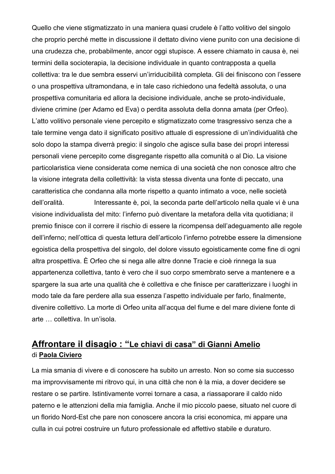Quello che viene stigmatizzato in una maniera quasi crudele è l'atto volitivo del singolo che proprio perché mette in discussione il dettato divino viene punito con una decisione di una crudezza che, probabilmente, ancor oggi stupisce. A essere chiamato in causa è, nei termini della socioterapia, la decisione individuale in quanto contrapposta a quella collettiva: tra le due sembra esservi un'irriducibilità completa. Gli dei finiscono con l'essere o una prospettiva ultramondana, e in tale caso richiedono una fedeltà assoluta, o una prospettiva comunitaria ed allora la decisione individuale, anche se proto-individuale, diviene crimine (per Adamo ed Eva) o perdita assoluta della donna amata (per Orfeo). L'atto volitivo personale viene percepito e stigmatizzato come trasgressivo senza che a tale termine venga dato il significato positivo attuale di espressione di un'individualità che solo dopo la stampa diverrà pregio: il singolo che agisce sulla base dei propri interessi personali viene percepito come disgregante rispetto alla comunità o al Dio. La visione particolaristica viene considerata come nemica di una società che non conosce altro che la visione integrata della collettività: la vista stessa diventa una fonte di peccato, una caratteristica che condanna alla morte rispetto a quanto intimato a voce, nelle società dell'oralità. Interessante è, poi, la seconda parte dell'articolo nella quale vi è una visione individualista del mito: l'inferno può diventare la metafora della vita quotidiana; il premio finisce con il correre il rischio di essere la ricompensa dell'adeguamento alle regole dell'inferno; nell'ottica di questa lettura dell'articolo l'inferno potrebbe essere la dimensione egoistica della prospettiva del singolo, del dolore vissuto egoisticamente come fine di ogni altra prospettiva. È Orfeo che si nega alle altre donne Tracie e cioè rinnega la sua appartenenza collettiva, tanto è vero che il suo corpo smembrato serve a mantenere e a spargere la sua arte una qualità che è collettiva e che finisce per caratterizzare i luoghi in modo tale da fare perdere alla sua essenza l'aspetto individuale per farlo, finalmente, divenire collettivo. La morte di Orfeo unita all'acqua del fiume e del mare diviene fonte di arte … collettiva. In un'isola.

# **Affrontare il disagio : "Le chiavi di casa" di Gianni Amelio** di **Paola Civiero**

La mia smania di vivere e di conoscere ha subito un arresto. Non so come sia successo ma improvvisamente mi ritrovo qui, in una città che non è la mia, a dover decidere se restare o se partire. Istintivamente vorrei tornare a casa, a riassaporare il caldo nido paterno e le attenzioni della mia famiglia. Anche il mio piccolo paese, situato nel cuore di un florido Nord-Est che pare non conoscere ancora la crisi economica, mi appare una culla in cui potrei costruire un futuro professionale ed affettivo stabile e duraturo.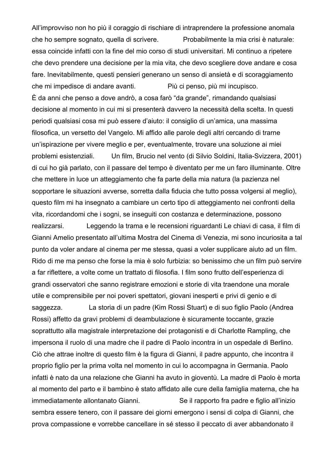All'improvviso non ho più il coraggio di rischiare di intraprendere la professione anomala che ho sempre sognato, quella di scrivere. Probabilmente la mia crisi è naturale: essa coincide infatti con la fine del mio corso di studi universitari. Mi continuo a ripetere che devo prendere una decisione per la mia vita, che devo scegliere dove andare e cosa fare. Inevitabilmente, questi pensieri generano un senso di ansietà e di scoraggiamento che mi impedisce di andare avanti. Più ci penso, più mi incupisco. È da anni che penso a dove andrò, a cosa farò "da grande", rimandando qualsiasi decisione al momento in cui mi si presenterà davvero la necessità della scelta. In questi periodi qualsiasi cosa mi può essere d'aiuto: il consiglio di un'amica, una massima filosofica, un versetto del Vangelo. Mi affido alle parole degli altri cercando di trarne un'ispirazione per vivere meglio e per, eventualmente, trovare una soluzione ai miei problemi esistenziali. Un film, Brucio nel vento (di Silvio Soldini, Italia-Svizzera, 2001) di cui ho già parlato, con il passare del tempo è diventato per me un faro illuminante. Oltre che mettere in luce un atteggiamento che fa parte della mia natura (la pazienza nel sopportare le situazioni avverse, sorretta dalla fiducia che tutto possa volgersi al meglio), questo film mi ha insegnato a cambiare un certo tipo di atteggiamento nei confronti della vita, ricordandomi che i sogni, se inseguiti con costanza e determinazione, possono realizzarsi. Leggendo la trama e le recensioni riguardanti Le chiavi di casa, il film di Gianni Amelio presentato all'ultima Mostra del Cinema di Venezia, mi sono incuriosita a tal punto da voler andare al cinema per me stessa, quasi a voler supplicare aiuto ad un film. Rido di me ma penso che forse la mia è solo furbizia: so benissimo che un film può servire a far riflettere, a volte come un trattato di filosofia. I film sono frutto dell'esperienza di grandi osservatori che sanno registrare emozioni e storie di vita traendone una morale utile e comprensibile per noi poveri spettatori, giovani inesperti e privi di genio e di saggezza. La storia di un padre (Kim Rossi Stuart) e di suo figlio Paolo (Andrea Rossi) affetto da gravi problemi di deambulazione è sicuramente toccante, grazie soprattutto alla magistrale interpretazione dei protagonisti e di Charlotte Rampling, che impersona il ruolo di una madre che il padre di Paolo incontra in un ospedale di Berlino. Ciò che attrae inoltre di questo film è la figura di Gianni, il padre appunto, che incontra il proprio figlio per la prima volta nel momento in cui lo accompagna in Germania. Paolo infatti è nato da una relazione che Gianni ha avuto in gioventù. La madre di Paolo è morta al momento del parto e il bambino è stato affidato alle cure della famiglia materna, che ha immediatamente allontanato Gianni. Se il rapporto fra padre e figlio all'inizio sembra essere tenero, con il passare dei giorni emergono i sensi di colpa di Gianni, che prova compassione e vorrebbe cancellare in sé stesso il peccato di aver abbandonato il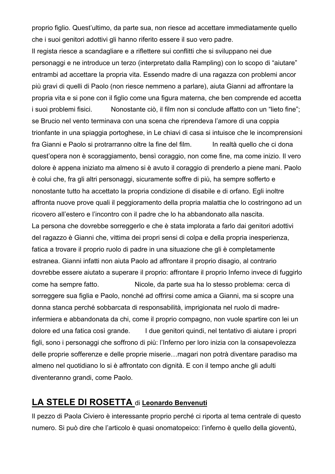proprio figlio. Quest'ultimo, da parte sua, non riesce ad accettare immediatamente quello che i suoi genitori adottivi gli hanno riferito essere il suo vero padre.

Il regista riesce a scandagliare e a riflettere sui conflitti che si sviluppano nei due personaggi e ne introduce un terzo (interpretato dalla Rampling) con lo scopo di "aiutare" entrambi ad accettare la propria vita. Essendo madre di una ragazza con problemi ancor più gravi di quelli di Paolo (non riesce nemmeno a parlare), aiuta Gianni ad affrontare la propria vita e si pone con il figlio come una figura materna, che ben comprende ed accetta i suoi problemi fisici. Nonostante ciò, il film non si conclude affatto con un "lieto fine"; se Brucio nel vento terminava con una scena che riprendeva l'amore di una coppia trionfante in una spiaggia portoghese, in Le chiavi di casa si intuisce che le incomprensioni fra Gianni e Paolo si protrarranno oltre la fine del film. In realtà quello che ci dona quest'opera non è scoraggiamento, bensì coraggio, non come fine, ma come inizio. Il vero dolore è appena iniziato ma almeno si è avuto il coraggio di prenderlo a piene mani. Paolo è colui che, fra gli altri personaggi, sicuramente soffre di più, ha sempre sofferto e nonostante tutto ha accettato la propria condizione di disabile e di orfano. Egli inoltre affronta nuove prove quali il peggioramento della propria malattia che lo costringono ad un ricovero all'estero e l'incontro con il padre che lo ha abbandonato alla nascita. La persona che dovrebbe sorreggerlo e che è stata implorata a farlo dai genitori adottivi del ragazzo è Gianni che, vittima dei propri sensi di colpa e della propria inesperienza, fatica a trovare il proprio ruolo di padre in una situazione che gli è completamente estranea. Gianni infatti non aiuta Paolo ad affrontare il proprio disagio, al contrario dovrebbe essere aiutato a superare il proprio: affrontare il proprio Inferno invece di fuggirlo come ha sempre fatto. Nicole, da parte sua ha lo stesso problema: cerca di sorreggere sua figlia e Paolo, nonché ad offrirsi come amica a Gianni, ma si scopre una donna stanca perché sobbarcata di responsabilità, imprigionata nel ruolo di madreinfermiera e abbandonata da chi, come il proprio compagno, non vuole spartire con lei un dolore ed una fatica così grande. I due genitori quindi, nel tentativo di aiutare i propri figli, sono i personaggi che soffrono di più: l'Inferno per loro inizia con la consapevolezza delle proprie sofferenze e delle proprie miserie…magari non potrà diventare paradiso ma almeno nel quotidiano lo si è affrontato con dignità. E con il tempo anche gli adulti diventeranno grandi, come Paolo.

## **LA STELE DI ROSETTA** di **Leonardo Benvenuti**

Il pezzo di Paola Civiero è interessante proprio perché ci riporta al tema centrale di questo numero. Si può dire che l'articolo è quasi onomatopeico: l'inferno è quello della gioventù,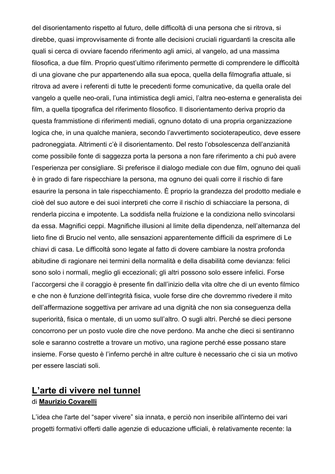del disorientamento rispetto al futuro, delle difficoltà di una persona che si ritrova, si direbbe, quasi improvvisamente di fronte alle decisioni cruciali riguardanti la crescita alle quali si cerca di ovviare facendo riferimento agli amici, al vangelo, ad una massima filosofica, a due film. Proprio quest'ultimo riferimento permette di comprendere le difficoltà di una giovane che pur appartenendo alla sua epoca, quella della filmografia attuale, si ritrova ad avere i referenti di tutte le precedenti forme comunicative, da quella orale del vangelo a quelle neo-orali, l'una intimistica degli amici, l'altra neo-esterna e generalista dei film, a quella tipografica del riferimento filosofico. Il disorientamento deriva proprio da questa frammistione di riferimenti mediali, ognuno dotato di una propria organizzazione logica che, in una qualche maniera, secondo l'avvertimento socioterapeutico, deve essere padroneggiata. Altrimenti c'è il disorientamento. Del resto l'obsolescenza dell'anzianità come possibile fonte di saggezza porta la persona a non fare riferimento a chi può avere l'esperienza per consigliare. Si preferisce il dialogo mediale con due film, ognuno dei quali è in grado di fare rispecchiare la persona, ma ognuno dei quali corre il rischio di fare esaurire la persona in tale rispecchiamento. È proprio la grandezza del prodotto mediale e cioè del suo autore e dei suoi interpreti che corre il rischio di schiacciare la persona, di renderla piccina e impotente. La soddisfa nella fruizione e la condiziona nello svincolarsi da essa. Magnifici ceppi. Magnifiche illusioni al limite della dipendenza, nell'alternanza del lieto fine di Brucio nel vento, alle sensazioni apparentemente difficili da esprimere di Le chiavi di casa. Le difficoltà sono legate al fatto di dovere cambiare la nostra profonda abitudine di ragionare nei termini della normalità e della disabilità come devianza: felici sono solo i normali, meglio gli eccezionali; gli altri possono solo essere infelici. Forse l'accorgersi che il coraggio è presente fin dall'inizio della vita oltre che di un evento filmico e che non è funzione dell'integrità fisica, vuole forse dire che dovremmo rivedere il mito dell'affermazione soggettiva per arrivare ad una dignità che non sia conseguenza della superiorità, fisica o mentale, di un uomo sull'altro. O sugli altri. Perché se dieci persone concorrono per un posto vuole dire che nove perdono. Ma anche che dieci si sentiranno sole e saranno costrette a trovare un motivo, una ragione perché esse possano stare insieme. Forse questo è l'inferno perché in altre culture è necessario che ci sia un motivo per essere lasciati soli.

## **L'arte di vivere nel tunnel** di **Maurizio Covarelli**

L'idea che l'arte del "saper vivere" sia innata, e perciò non inseribile all'interno dei vari progetti formativi offerti dalle agenzie di educazione ufficiali, è relativamente recente: la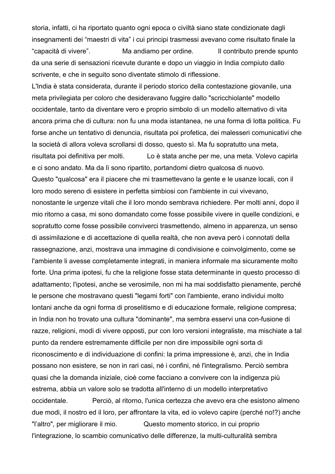storia, infatti, ci ha riportato quanto ogni epoca o civiltà siano state condizionate dagli insegnamenti dei "maestri di vita" i cui principi trasmessi avevano come risultato finale la "capacità di vivere". Ma andiamo per ordine. Il contributo prende spunto da una serie di sensazioni ricevute durante e dopo un viaggio in India compiuto dallo scrivente, e che in seguito sono diventate stimolo di riflessione.

L'India è stata considerata, durante il periodo storico della contestazione giovanile, una meta privilegiata per coloro che desideravano fuggire dallo "scricchiolante" modello occidentale, tanto da diventare vero e proprio simbolo di un modello alternativo di vita ancora prima che di cultura: non fu una moda istantanea, ne una forma di lotta politica. Fu forse anche un tentativo di denuncia, risultata poi profetica, dei malesseri comunicativi che la società di allora voleva scrollarsi di dosso, questo sì. Ma fu sopratutto una meta, risultata poi definitiva per molti. Lo è stata anche per me, una meta. Volevo capirla e ci sono andato. Ma da lì sono ripartito, portandomi dietro qualcosa di nuovo. Questo "qualcosa" era il piacere che mi trasmettevano la gente e le usanze locali, con il loro modo sereno di esistere in perfetta simbiosi con l'ambiente in cui vivevano, nonostante le urgenze vitali che il loro mondo sembrava richiedere. Per molti anni, dopo il mio ritorno a casa, mi sono domandato come fosse possibile vivere in quelle condizioni, e sopratutto come fosse possibile conviverci trasmettendo, almeno in apparenza, un senso di assimilazione e di accettazione di quella realtà, che non aveva però i connotati della rassegnazione, anzi, mostrava una immagine di condivisione e coinvolgimento, come se l'ambiente li avesse completamente integrati, in maniera informale ma sicuramente molto forte. Una prima ipotesi, fu che la religione fosse stata determinante in questo processo di adattamento; l'ipotesi, anche se verosimile, non mi ha mai soddisfatto pienamente, perché le persone che mostravano questi "legami forti" con l'ambiente, erano individui molto lontani anche da ogni forma di proselitismo e di educazione formale, religione compresa; in India non ho trovato una cultura "dominante", ma sembra esservi una con-fusione di razze, religioni, modi di vivere opposti, pur con loro versioni integraliste, ma mischiate a tal punto da rendere estremamente difficile per non dire impossibile ogni sorta di riconoscimento e di individuazione di confini: la prima impressione è, anzi, che in India possano non esistere, se non in rari casi, né i confini, né l'integralismo. Perciò sembra quasi che la domanda iniziale, cioè come facciano a convivere con la indigenza più estrema, abbia un valore solo se tradotta all'interno di un modello interpretativo occidentale. Perciò, al ritorno, l'unica certezza che avevo era che esistono almeno due modi, il nostro ed il loro, per affrontare la vita, ed io volevo capire (perché no!?) anche "l'altro", per migliorare il mio. Questo momento storico, in cui proprio l'integrazione, lo scambio comunicativo delle differenze, la multi-culturalità sembra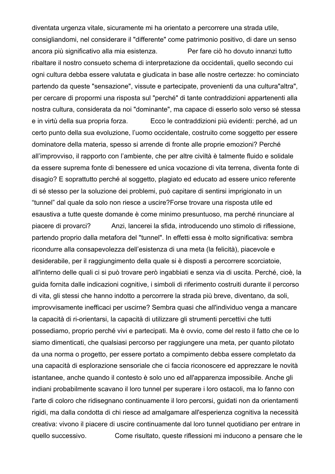diventata urgenza vitale, sicuramente mi ha orientato a percorrere una strada utile, consigliandomi, nel considerare il "differente" come patrimonio positivo, di dare un senso ancora più significativo alla mia esistenza. Per fare ciò ho dovuto innanzi tutto ribaltare il nostro consueto schema di interpretazione da occidentali, quello secondo cui ogni cultura debba essere valutata e giudicata in base alle nostre certezze: ho cominciato partendo da queste "sensazione", vissute e partecipate, provenienti da una cultura"altra", per cercare di propormi una risposta sul "perché" di tante contraddizioni appartenenti alla nostra cultura, considerata da noi "dominante", ma capace di esserlo solo verso sé stessa e in virtù della sua propria forza. Ecco le contraddizioni più evidenti: perché, ad un certo punto della sua evoluzione, l'uomo occidentale, costruito come soggetto per essere dominatore della materia, spesso si arrende di fronte alle proprie emozioni? Perché all'improvviso, il rapporto con l'ambiente, che per altre civiltà è talmente fluido e solidale da essere suprema fonte di benessere ed unica vocazione di vita terrena, diventa fonte di disagio? E soprattutto perché al soggetto, plagiato ed educato ad essere unico referente di sé stesso per la soluzione dei problemi, può capitare di sentirsi imprigionato in un "tunnel" dal quale da solo non riesce a uscire?Forse trovare una risposta utile ed esaustiva a tutte queste domande è come minimo presuntuoso, ma perché rinunciare al piacere di provarci? Anzi, lancerei la sfida, introducendo uno stimolo di riflessione, partendo proprio dalla metafora del "tunnel". In effetti essa è molto significativa: sembra ricondurre alla consapevolezza dell'esistenza di una meta (la felicità), piacevole e desiderabile, per il raggiungimento della quale si è disposti a percorrere scorciatoie, all'interno delle quali ci si può trovare però ingabbiati e senza via di uscita. Perché, cioè, la guida fornita dalle indicazioni cognitive, i simboli di riferimento costruiti durante il percorso di vita, gli stessi che hanno indotto a percorrere la strada più breve, diventano, da soli, improvvisamente inefficaci per uscirne? Sembra quasi che all'individuo venga a mancare la capacità di ri-orientarsi, la capacità di utilizzare gli strumenti percettivi che tutti possediamo, proprio perché vivi e partecipati. Ma è ovvio, come del resto il fatto che ce lo siamo dimenticati, che qualsiasi percorso per raggiungere una meta, per quanto pilotato da una norma o progetto, per essere portato a compimento debba essere completato da una capacità di esplorazione sensoriale che ci faccia riconoscere ed apprezzare le novità istantanee, anche quando il contesto è solo uno ed all'apparenza impossibile. Anche gli indiani probabilmente scavano il loro tunnel per superare i loro ostacoli, ma lo fanno con l'arte di coloro che ridisegnano continuamente il loro percorsi, guidati non da orientamenti rigidi, ma dalla condotta di chi riesce ad amalgamare all'esperienza cognitiva la necessità creativa: vivono il piacere di uscire continuamente dal loro tunnel quotidiano per entrare in quello successivo. Come risultato, queste riflessioni mi inducono a pensare che le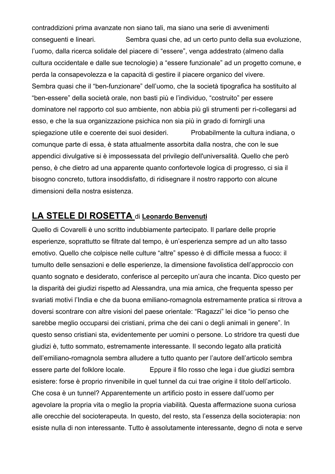contraddizioni prima avanzate non siano tali, ma siano una serie di avvenimenti conseguenti e lineari. Sembra quasi che, ad un certo punto della sua evoluzione, l'uomo, dalla ricerca solidale del piacere di "essere", venga addestrato (almeno dalla cultura occidentale e dalle sue tecnologie) a "essere funzionale" ad un progetto comune, e perda la consapevolezza e la capacità di gestire il piacere organico del vivere. Sembra quasi che il "ben-funzionare" dell'uomo, che la società tipografica ha sostituito al "ben-essere" della società orale, non basti più e l'individuo, "costruito" per essere dominatore nel rapporto col suo ambiente, non abbia più gli strumenti per ri-collegarsi ad esso, e che la sua organizzazione psichica non sia più in grado di fornirgli una spiegazione utile e coerente dei suoi desideri. Probabilmente la cultura indiana, o comunque parte di essa, è stata attualmente assorbita dalla nostra, che con le sue appendici divulgative si è impossessata del privilegio dell'universalità. Quello che però penso, è che dietro ad una apparente quanto confortevole logica di progresso, ci sia il bisogno concreto, tuttora insoddisfatto, di ridisegnare il nostro rapporto con alcune dimensioni della nostra esistenza.

#### **LA STELE DI ROSETTA** di **Leonardo Benvenuti**

Quello di Covarelli è uno scritto indubbiamente partecipato. Il parlare delle proprie esperienze, soprattutto se filtrate dal tempo, è un'esperienza sempre ad un alto tasso emotivo. Quello che colpisce nelle culture "altre" spesso è di difficile messa a fuoco: il tumulto delle sensazioni e delle esperienze, la dimensione favolistica dell'approccio con quanto sognato e desiderato, conferisce al percepito un'aura che incanta. Dico questo per la disparità dei giudizi rispetto ad Alessandra, una mia amica, che frequenta spesso per svariati motivi l'India e che da buona emiliano-romagnola estremamente pratica si ritrova a doversi scontrare con altre visioni del paese orientale: "Ragazzi" lei dice "io penso che sarebbe meglio occuparsi dei cristiani, prima che dei cani o degli animali in genere". In questo senso cristiani sta, evidentemente per uomini o persone. Lo stridore tra questi due giudizi è, tutto sommato, estremamente interessante. Il secondo legato alla praticità dell'emiliano-romagnola sembra alludere a tutto quanto per l'autore dell'articolo sembra essere parte del folklore locale. Eppure il filo rosso che lega i due giudizi sembra esistere: forse è proprio rinvenibile in quel tunnel da cui trae origine il titolo dell'articolo. Che cosa è un tunnel? Apparentemente un artificio posto in essere dall'uomo per agevolare la propria vita o meglio la propria viabilità. Questa affermazione suona curiosa alle orecchie del socioterapeuta. In questo, del resto, sta l'essenza della socioterapia: non esiste nulla di non interessante. Tutto è assolutamente interessante, degno di nota e serve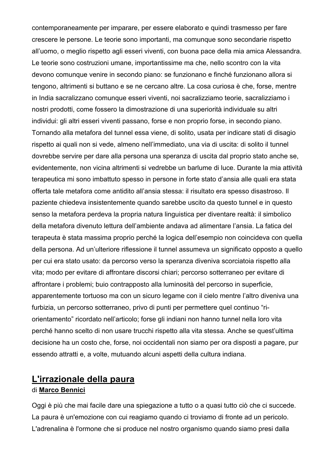contemporaneamente per imparare, per essere elaborato e quindi trasmesso per fare crescere le persone. Le teorie sono importanti, ma comunque sono secondarie rispetto all'uomo, o meglio rispetto agli esseri viventi, con buona pace della mia amica Alessandra. Le teorie sono costruzioni umane, importantissime ma che, nello scontro con la vita devono comunque venire in secondo piano: se funzionano e finché funzionano allora si tengono, altrimenti si buttano e se ne cercano altre. La cosa curiosa è che, forse, mentre in India sacralizzano comunque esseri viventi, noi sacralizziamo teorie, sacralizziamo i nostri prodotti, come fossero la dimostrazione di una superiorità individuale su altri individui: gli altri esseri viventi passano, forse e non proprio forse, in secondo piano. Tornando alla metafora del tunnel essa viene, di solito, usata per indicare stati di disagio rispetto ai quali non si vede, almeno nell'immediato, una via di uscita: di solito il tunnel dovrebbe servire per dare alla persona una speranza di uscita dal proprio stato anche se, evidentemente, non vicina altrimenti si vedrebbe un barlume di luce. Durante la mia attività terapeutica mi sono imbattuto spesso in persone in forte stato d'ansia alle quali era stata offerta tale metafora come antidito all'ansia stessa: il risultato era spesso disastroso. Il paziente chiedeva insistentemente quando sarebbe uscito da questo tunnel e in questo senso la metafora perdeva la propria natura linguistica per diventare realtà: il simbolico della metafora divenuto lettura dell'ambiente andava ad alimentare l'ansia. La fatica del terapeuta è stata massima proprio perché la logica dell'esempio non coincideva con quella della persona. Ad un'ulteriore riflessione il tunnel assumeva un significato opposto a quello per cui era stato usato: da percorso verso la speranza diveniva scorciatoia rispetto alla vita; modo per evitare di affrontare discorsi chiari; percorso sotterraneo per evitare di affrontare i problemi; buio contrapposto alla luminosità del percorso in superficie, apparentemente tortuoso ma con un sicuro legame con il cielo mentre l'altro diveniva una furbizia, un percorso sotterraneo, privo di punti per permettere quel continuo "riorientamento" ricordato nell'articolo; forse gli indiani non hanno tunnel nella loro vita perché hanno scelto di non usare trucchi rispetto alla vita stessa. Anche se quest'ultima decisione ha un costo che, forse, noi occidentali non siamo per ora disposti a pagare, pur essendo attratti e, a volte, mutuando alcuni aspetti della cultura indiana.

# **L'irrazionale della paura**

#### di **Marco Bennici**

Oggi è più che mai facile dare una spiegazione a tutto o a quasi tutto ciò che ci succede. La paura è un'emozione con cui reagiamo quando ci troviamo di fronte ad un pericolo. L'adrenalina è l'ormone che si produce nel nostro organismo quando siamo presi dalla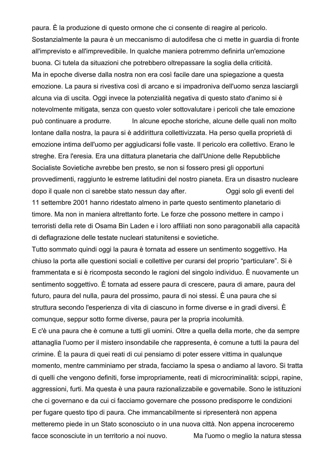paura. È la produzione di questo ormone che ci consente di reagire al pericolo. Sostanzialmente la paura è un meccanismo di autodifesa che ci mette in guardia di fronte all'imprevisto e all'imprevedibile. In qualche maniera potremmo definirla un'emozione buona. Ci tutela da situazioni che potrebbero oltrepassare la soglia della criticità. Ma in epoche diverse dalla nostra non era così facile dare una spiegazione a questa emozione. La paura si rivestiva così di arcano e si impadroniva dell'uomo senza lasciargli alcuna via di uscita. Oggi invece la potenzialità negativa di questo stato d'animo si è notevolmente mitigata, senza con questo voler sottovalutare i pericoli che tale emozione può continuare a produrre. In alcune epoche storiche, alcune delle quali non molto lontane dalla nostra, la paura si è addirittura collettivizzata. Ha perso quella proprietà di emozione intima dell'uomo per aggiudicarsi folle vaste. Il pericolo era collettivo. Erano le streghe. Era l'eresia. Era una dittatura planetaria che dall'Unione delle Repubbliche Socialiste Sovietiche avrebbe ben presto, se non si fossero presi gli opportuni provvedimenti, raggiunto le estreme latitudini del nostro pianeta. Era un disastro nucleare dopo il quale non ci sarebbe stato nessun day after. Oggi solo gli eventi del

11 settembre 2001 hanno ridestato almeno in parte questo sentimento planetario di timore. Ma non in maniera altrettanto forte. Le forze che possono mettere in campo i terroristi della rete di Osama Bin Laden e i loro affiliati non sono paragonabili alla capacità di deflagrazione delle testate nucleari statunitensi e sovietiche.

Tutto sommato quindi oggi la paura è tornata ad essere un sentimento soggettivo. Ha chiuso la porta alle questioni sociali e collettive per curarsi del proprio "particulare". Si è frammentata e si è ricomposta secondo le ragioni del singolo individuo. È nuovamente un sentimento soggettivo. È tornata ad essere paura di crescere, paura di amare, paura del futuro, paura del nulla, paura del prossimo, paura di noi stessi. È una paura che si struttura secondo l'esperienza di vita di ciascuno in forme diverse e in gradi diversi. È comunque, seppur sotto forme diverse, paura per la propria incolumità.

E c'è una paura che è comune a tutti gli uomini. Oltre a quella della morte, che da sempre attanaglia l'uomo per il mistero insondabile che rappresenta, è comune a tutti la paura del crimine. È la paura di quei reati di cui pensiamo di poter essere vittima in qualunque momento, mentre camminiamo per strada, facciamo la spesa o andiamo al lavoro. Si tratta di quelli che vengono definiti, forse impropriamente, reati di microcriminalità: scippi, rapine, aggressioni, furti. Ma questa è una paura razionalizzabile e governabile. Sono le istituzioni che ci governano e da cui ci facciamo governare che possono predisporre le condizioni per fugare questo tipo di paura. Che immancabilmente si ripresenterà non appena metteremo piede in un Stato sconosciuto o in una nuova città. Non appena incroceremo facce sconosciute in un territorio a noi nuovo. Ma l'uomo o meglio la natura stessa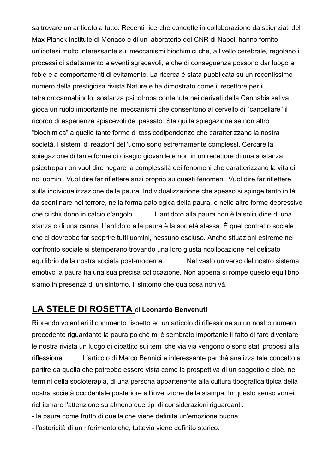sa trovare un antidoto a tutto. Recenti ricerche condotte in collaborazione da scienziati del Max Planck Institute di Monaco e di un laboratorio del CNR di Napoli hanno fornito un'ipotesi molto interessante sui meccanismi biochimici che, a livello cerebrale, regolano i processi di adattamento a eventi sgradevoli, e che di conseguenza possono dar luogo a fobie e a comportamenti di evitamento. La ricerca è stata pubblicata su un recentissimo numero della prestigiosa rivista Nature e ha dimostrato come il recettore per il tetraidrocannabinolo, sostanza psicotropa contenuta nei derivati della Cannabis sativa, gioca un ruolo importante nei meccanismi che consentono al cervello di "cancellare" il ricordo di esperienze spiacevoli del passato. Sta qui la spiegazione se non altro "biochimica" a quelle tante forme di tossicodipendenze che caratterizzano la nostra società. I sistemi di reazioni dell'uomo sono estremamente complessi. Cercare la spiegazione di tante forme di disagio giovanile e non in un recettore di una sostanza psicotropa non vuol dire negare la complessità dei fenomeni che caratterizzano la vita di noi uomini. Vuol dire far riflettere anzi proprio su questi fenomeni. Vuol dire far riflettere sulla individualizzazione della paura. Individualizzazione che spesso si spinge tanto in là da sconfinare nel terrore, nella forma patologica della paura, e nelle altre forme depressive che ci chiudono in calcio d'angolo. L'antidoto alla paura non è la solitudine di una stanza o di una canna. L'antidoto alla paura è la società stessa. È quel contratto sociale che ci dovrebbe far scoprire tutti uomini, nessuno escluso. Anche situazioni estreme nel confronto sociale si stemperano trovando una loro giusta ricollocazione nel delicato equilibrio della nostra società post-moderna. Nel vasto universo del nostro sistema emotivo la paura ha una sua precisa collocazione. Non appena si rompe questo equilibrio siamo in presenza di un sintomo. Il sintomo che qualcosa non và.

# **LA STELE DI ROSETTA** di **Leonardo Benvenuti**

Riprendo volentieri il commento rispetto ad un articolo di riflessione su un nostro numero precedente riguardante la paura poiché mi è sembrato importante il fatto di fare diventare le nostra rivista un luogo di dibattito sui temi che via via vengono o sono stati proposti alla riflessione. L'articolo di Marco Bennici è interessante perché analizza tale concetto a partire da quella che potrebbe essere vista come la prospettiva di un soggetto e cioè, nei termini della socioterapia, di una persona appartenente alla cultura tipografica tipica della nostra società occidentale posteriore all'invenzione della stampa. In questo senso vorrei richiamare l'attenzione su almeno due tipi di considerazioni riguardanti:

- la paura come frutto di quella che viene definita un'emozione buona;

- l'astoricità di un riferimento che, tuttavia viene definito storico.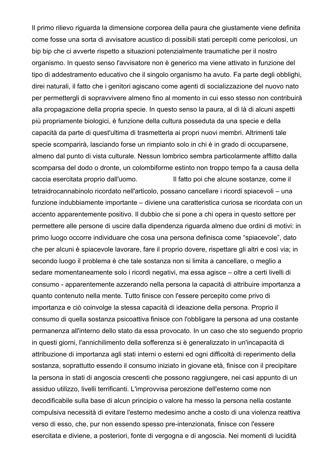Il primo rilievo riguarda la dimensione corporea della paura che giustamente viene definita come fosse una sorta di avvisatore acustico di possibili stati percepiti come pericolosi, un bip bip che ci avverte rispetto a situazioni potenzialmente traumatiche per il nostro organismo. In questo senso l'avvisatore non è generico ma viene attivato in funzione del tipo di addestramento educativo che il singolo organismo ha avuto. Fa parte degli obblighi, direi naturali, il fatto che i genitori agiscano come agenti di socializzazione del nuovo nato per permettergli di sopravvivere almeno fino al momento in cui esso stesso non contribuirà alla propagazione della propria specie. In questo senso la paura, al di là di alcuni aspetti più propriamente biologici, è funzione della cultura posseduta da una specie e della capacità da parte di quest'ultima di trasmetterla ai propri nuovi membri. Altrimenti tale specie scomparirà, lasciando forse un rimpianto solo in chi è in grado di occuparsene, almeno dal punto di vista culturale. Nessun lombrico sembra particolarmente afflitto dalla scomparsa del dodo o dronte, un colombiforme estinto non troppo tempo fa a causa della caccia esercitata proprio dall'uomo. Il fatto poi che alcune sostanze, come il tetraidrocannabinolo ricordato nell'articolo, possano cancellare i ricordi spiacevoli – una funzione indubbiamente importante – diviene una caratteristica curiosa se ricordata con un accento apparentemente positivo. Il dubbio che si pone a chi opera in questo settore per permettere alle persone di uscire dalla dipendenza riguarda almeno due ordini di motivi: in primo luogo occorre individuare che cosa una persona definisca come "spiacevole", dato che per alcuni è spiacevole lavorare, fare il proprio dovere, rispettare gli altri e così via; in secondo luogo il problema è che tale sostanza non si limita a cancellare, o meglio a sedare momentaneamente solo i ricordi negativi, ma essa agisce – oltre a certi livelli di consumo - apparentemente azzerando nella persona la capacità di attribuire importanza a quanto contenuto nella mente. Tutto finisce con l'essere percepito come privo di importanza e ciò coinvolge la stessa capacità di ideazione della persona. Proprio il consumo di quella sostanza psicoattiva finisce con l'obbligare la persona ad una costante permanenza all'interno dello stato da essa provocato. In un caso che sto seguendo proprio in questi giorni, l'annichilimento della sofferenza si è generalizzato in un'incapacità di attribuzione di importanza agli stati interni o esterni ed ogni difficoltà di reperimento della sostanza, soprattutto essendo il consumo iniziato in giovane età, finisce con il precipitare la persona in stati di angoscia crescenti che possono raggiungere, nei casi appunto di un assiduo utilizzo, livelli terrificanti. L'improvvisa percezione dell'esterno come non decodificabile sulla base di alcun principio o valore ha messo la persona nella costante compulsiva necessità di evitare l'esterno medesimo anche a costo di una violenza reattiva verso di esso, che, pur non essendo spesso pre-intenzionata, finisce con l'essere esercitata e diviene, a posteriori, fonte di vergogna e di angoscia. Nei momenti di lucidità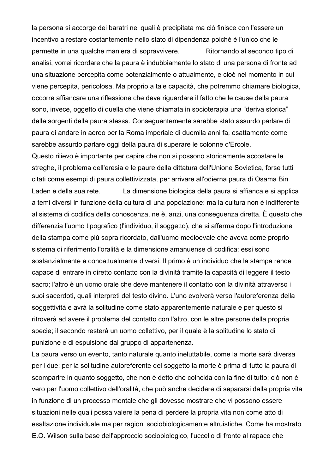la persona si accorge dei baratri nei quali è precipitata ma ciò finisce con l'essere un incentivo a restare costantemente nello stato di dipendenza poiché è l'unico che le permette in una qualche maniera di sopravvivere. Ritornando al secondo tipo di analisi, vorrei ricordare che la paura è indubbiamente lo stato di una persona di fronte ad una situazione percepita come potenzialmente o attualmente, e cioè nel momento in cui viene percepita, pericolosa. Ma proprio a tale capacità, che potremmo chiamare biologica, occorre affiancare una riflessione che deve riguardare il fatto che le cause della paura sono, invece, oggetto di quella che viene chiamata in socioterapia una "deriva storica" delle sorgenti della paura stessa. Conseguentemente sarebbe stato assurdo parlare di paura di andare in aereo per la Roma imperiale di duemila anni fa, esattamente come sarebbe assurdo parlare oggi della paura di superare le colonne d'Ercole.

Questo rilievo è importante per capire che non si possono storicamente accostare le streghe, il problema dell'eresia e le paure della dittatura dell'Unione Sovietica, forse tutti citati come esempi di paura collettivizzata, per arrivare all'odierna paura di Osama Bin Laden e della sua rete. La dimensione biologica della paura si affianca e si applica a temi diversi in funzione della cultura di una popolazione: ma la cultura non è indifferente al sistema di codifica della conoscenza, ne è, anzi, una conseguenza diretta. È questo che differenzia l'uomo tipografico (l'individuo, il soggetto), che si afferma dopo l'introduzione della stampa come più sopra ricordato, dall'uomo medioevale che aveva come proprio sistema di riferimento l'oralità e la dimensione amanuense di codifica: essi sono sostanzialmente e concettualmente diversi. Il primo è un individuo che la stampa rende capace di entrare in diretto contatto con la divinità tramite la capacità di leggere il testo sacro; l'altro è un uomo orale che deve mantenere il contatto con la divinità attraverso i suoi sacerdoti, quali interpreti del testo divino. L'uno evolverà verso l'autoreferenza della soggettività e avrà la solitudine come stato apparentemente naturale e per questo si ritroverà ad avere il problema del contatto con l'altro, con le altre persone della propria specie; il secondo resterà un uomo collettivo, per il quale è la solitudine lo stato di punizione e di espulsione dal gruppo di appartenenza.

La paura verso un evento, tanto naturale quanto ineluttabile, come la morte sarà diversa per i due: per la solitudine autoreferente del soggetto la morte è prima di tutto la paura di scomparire in quanto soggetto, che non è detto che coincida con la fine di tutto; ciò non è vero per l'uomo collettivo dell'oralità, che può anche decidere di separarsi dalla propria vita in funzione di un processo mentale che gli dovesse mostrare che vi possono essere situazioni nelle quali possa valere la pena di perdere la propria vita non come atto di esaltazione individuale ma per ragioni sociobiologicamente altruistiche. Come ha mostrato E.O. Wilson sulla base dell'approccio sociobiologico, l'uccello di fronte al rapace che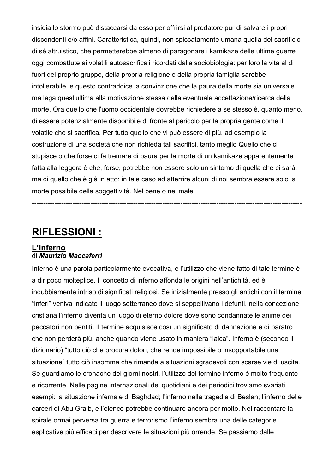insidia lo stormo può distaccarsi da esso per offrirsi al predatore pur di salvare i propri discendenti e/o affini. Caratteristica, quindi, non spiccatamente umana quella del sacrificio di sé altruistico, che permetterebbe almeno di paragonare i kamikaze delle ultime guerre oggi combattute ai volatili autosacrificali ricordati dalla sociobiologia: per loro la vita al di fuori del proprio gruppo, della propria religione o della propria famiglia sarebbe intollerabile, e questo contraddice la convinzione che la paura della morte sia universale ma lega quest'ultima alla motivazione stessa della eventuale accettazione/ricerca della morte. Ora quello che l'uomo occidentale dovrebbe richiedere a se stesso è, quanto meno, di essere potenzialmente disponibile di fronte al pericolo per la propria gente come il volatile che si sacrifica. Per tutto quello che vi può essere di più, ad esempio la costruzione di una società che non richieda tali sacrifici, tanto meglio Quello che ci stupisce o che forse ci fa tremare di paura per la morte di un kamikaze apparentemente fatta alla leggera è che, forse, potrebbe non essere solo un sintomo di quella che ci sarà, ma di quello che è già in atto: in tale caso ad atterrire alcuni di noi sembra essere solo la morte possibile della soggettività. Nel bene o nel male.

**------------------------------------------------------------------------------------------------------------------------**

# **RIFLESSIONI :**

#### **L'inferno** di *Maurizio Maccaferri*

Inferno è una parola particolarmente evocativa, e l'utilizzo che viene fatto di tale termine è a dir poco molteplice. Il concetto di inferno affonda le origini nell'antichità, ed è indubbiamente intriso di significati religiosi. Se inizialmente presso gli antichi con il termine "inferi" veniva indicato il luogo sotterraneo dove si seppellivano i defunti, nella concezione cristiana l'inferno diventa un luogo di eterno dolore dove sono condannate le anime dei peccatori non pentiti. Il termine acquisisce così un significato di dannazione e di baratro che non perderà più, anche quando viene usato in maniera "laica". Inferno è (secondo il dizionario) "tutto ciò che procura dolori, che rende impossibile o insopportabile una situazione" tutto ciò insomma che rimanda a situazioni sgradevoli con scarse vie di uscita. Se guardiamo le cronache dei giorni nostri, l'utilizzo del termine inferno è molto frequente e ricorrente. Nelle pagine internazionali dei quotidiani e dei periodici troviamo svariati esempi: la situazione infernale di Baghdad; l'inferno nella tragedia di Beslan; l'inferno delle carceri di Abu Graib, e l'elenco potrebbe continuare ancora per molto. Nel raccontare la spirale ormai perversa tra guerra e terrorismo l'inferno sembra una delle categorie esplicative più efficaci per descrivere le situazioni più orrende. Se passiamo dalle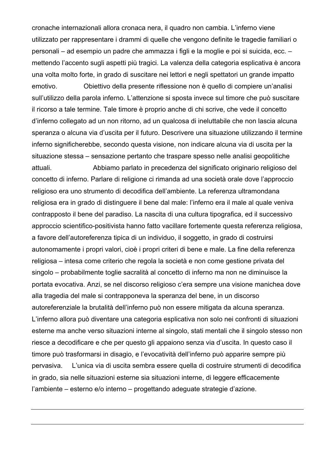cronache internazionali allora cronaca nera, il quadro non cambia. L'inferno viene utilizzato per rappresentare i drammi di quelle che vengono definite le tragedie familiari o personali – ad esempio un padre che ammazza i figli e la moglie e poi si suicida, ecc. – mettendo l'accento sugli aspetti più tragici. La valenza della categoria esplicativa è ancora una volta molto forte, in grado di suscitare nei lettori e negli spettatori un grande impatto emotivo. Obiettivo della presente riflessione non è quello di compiere un'analisi sull'utilizzo della parola inferno. L'attenzione si sposta invece sul timore che può suscitare il ricorso a tale termine. Tale timore è proprio anche di chi scrive, che vede il concetto d'inferno collegato ad un non ritorno, ad un qualcosa di ineluttabile che non lascia alcuna speranza o alcuna via d'uscita per il futuro. Descrivere una situazione utilizzando il termine inferno significherebbe, secondo questa visione, non indicare alcuna via di uscita per la situazione stessa – sensazione pertanto che traspare spesso nelle analisi geopolitiche attuali. Abbiamo parlato in precedenza del significato originario religioso del concetto di inferno. Parlare di religione ci rimanda ad una società orale dove l'approccio religioso era uno strumento di decodifica dell'ambiente. La referenza ultramondana religiosa era in grado di distinguere il bene dal male: l'inferno era il male al quale veniva contrapposto il bene del paradiso. La nascita di una cultura tipografica, ed il successivo approccio scientifico-positivista hanno fatto vacillare fortemente questa referenza religiosa, a favore dell'autoreferenza tipica di un individuo, il soggetto, in grado di costruirsi autonomamente i propri valori, cioè i propri criteri di bene e male. La fine della referenza religiosa – intesa come criterio che regola la società e non come gestione privata del singolo – probabilmente toglie sacralità al concetto di inferno ma non ne diminuisce la portata evocativa. Anzi, se nel discorso religioso c'era sempre una visione manichea dove alla tragedia del male si contrapponeva la speranza del bene, in un discorso autoreferenziale la brutalità dell'inferno può non essere mitigata da alcuna speranza. L'inferno allora può diventare una categoria esplicativa non solo nei confronti di situazioni esterne ma anche verso situazioni interne al singolo, stati mentali che il singolo stesso non riesce a decodificare e che per questo gli appaiono senza via d'uscita. In questo caso il timore può trasformarsi in disagio, e l'evocatività dell'inferno può apparire sempre più pervasiva. L'unica via di uscita sembra essere quella di costruire strumenti di decodifica in grado, sia nelle situazioni esterne sia situazioni interne, di leggere efficacemente l'ambiente – esterno e/o interno – progettando adeguate strategie d'azione.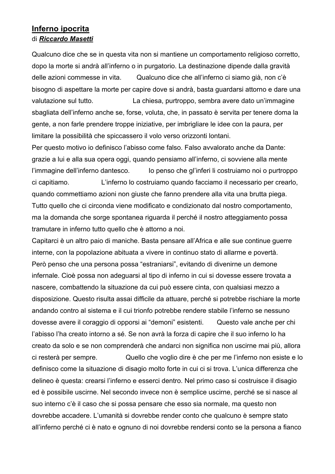#### **Inferno ipocrita** di *Riccardo Masetti*

Qualcuno dice che se in questa vita non si mantiene un comportamento religioso corretto, dopo la morte si andrà all'inferno o in purgatorio. La destinazione dipende dalla gravità delle azioni commesse in vita. Qualcuno dice che all'inferno ci siamo già, non c'è bisogno di aspettare la morte per capire dove si andrà, basta guardarsi attorno e dare una valutazione sul tutto. La chiesa, purtroppo, sembra avere dato un'immagine sbagliata dell'inferno anche se, forse, voluta, che, in passato è servita per tenere doma la gente, a non farle prendere troppe iniziative, per imbrigliare le idee con la paura, per limitare la possibilità che spiccassero il volo verso orizzonti lontani.

Per questo motivo io definisco l'abisso come falso. Falso avvalorato anche da Dante: grazie a lui e alla sua opera oggi, quando pensiamo all'inferno, ci sovviene alla mente l'immagine dell'inferno dantesco. Io penso che gl'inferi li costruiamo noi o purtroppo ci capitiamo. L'inferno lo costruiamo quando facciamo il necessario per crearlo, quando commettiamo azioni non giuste che fanno prendere alla vita una brutta piega. Tutto quello che ci circonda viene modificato e condizionato dal nostro comportamento, ma la domanda che sorge spontanea riguarda il perché il nostro atteggiamento possa tramutare in inferno tutto quello che è attorno a noi.

Capitarci è un altro paio di maniche. Basta pensare all'Africa e alle sue continue guerre interne, con la popolazione abituata a vivere in continuo stato di allarme e povertà. Però penso che una persona possa "estraniarsi", evitando di divenirne un demone infernale. Cioè possa non adeguarsi al tipo di inferno in cui si dovesse essere trovata a nascere, combattendo la situazione da cui può essere cinta, con qualsiasi mezzo a disposizione. Questo risulta assai difficile da attuare, perché si potrebbe rischiare la morte andando contro al sistema e il cui trionfo potrebbe rendere stabile l'inferno se nessuno dovesse avere il coraggio di opporsi ai "demoni" esistenti. Questo vale anche per chi l'abisso l'ha creato intorno a sé. Se non avrà la forza di capire che il suo inferno lo ha creato da solo e se non comprenderà che andarci non significa non uscirne mai più, allora ci resterà per sempre. Quello che voglio dire è che per me l'inferno non esiste e lo definisco come la situazione di disagio molto forte in cui ci si trova. L'unica differenza che delineo è questa: crearsi l'inferno e esserci dentro. Nel primo caso si costruisce il disagio ed è possibile uscirne. Nel secondo invece non è semplice uscirne, perché se si nasce al suo interno c'è il caso che si possa pensare che esso sia normale, ma questo non dovrebbe accadere. L'umanità si dovrebbe render conto che qualcuno è sempre stato all'inferno perché ci è nato e ognuno di noi dovrebbe rendersi conto se la persona a fianco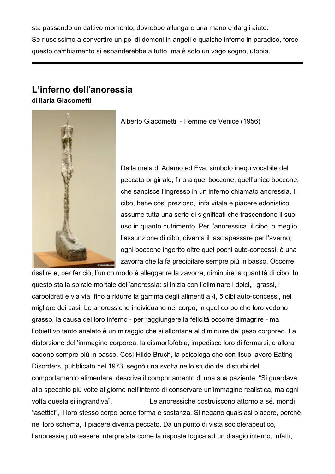sta passando un cattivo momento, dovrebbe allungare una mano e dargli aiuto. Se riuscissimo a convertire un po' di demoni in angeli e qualche inferno in paradiso, forse questo cambiamento si espanderebbe a tutto, ma è solo un vago sogno, utopia.

# **L'inferno dell'anoressia**

di **Ilaria Giacometti**



Alberto Giacometti - Femme de Venice (1956)

Dalla mela di Adamo ed Eva, simbolo inequivocabile del peccato originale, fino a quel boccone, quell'unico boccone, che sancisce l'ingresso in un inferno chiamato anoressia. Il cibo, bene così prezioso, linfa vitale e piacere edonistico, assume tutta una serie di significati che trascendono il suo uso in quanto nutrimento. Per l'anoressica, il cibo, o meglio, l'assunzione di cibo, diventa il lasciapassare per l'averno; ogni boccone ingerito oltre quei pochi auto-concessi, è una zavorra che la fa precipitare sempre più in basso. Occorre

risalire e, per far ciò, l'unico modo è alleggerire la zavorra, diminuire la quantità di cibo. In questo sta la spirale mortale dell'anoressia: si inizia con l'eliminare i dolci, i grassi, i carboidrati e via via, fino a ridurre la gamma degli alimenti a 4, 5 cibi auto-concessi, nel migliore dei casi. Le anoressiche individuano nel corpo, in quel corpo che loro vedono grasso, la causa del loro inferno - per raggiungere la felicità occorre dimagrire - ma l'obiettivo tanto anelato è un miraggio che si allontana al diminuire del peso corporeo. La distorsione dell'immagine corporea, la dismorfofobia, impedisce loro di fermarsi, e allora cadono sempre più in basso. Così Hilde Bruch, la psicologa che con ilsuo lavoro Eating Disorders, pubblicato nel 1973, segnò una svolta nello studio dei disturbi del comportamento alimentare, descrive il comportamento di una sua paziente: "Si guardava allo specchio più volte al giorno nell'intento di conservare un'immagine realistica, ma ogni volta questa si ingrandiva". Le anoressiche costruiscono attorno a sé, mondi "asettici", il loro stesso corpo perde forma e sostanza. Si negano qualsiasi piacere, perchè, nel loro schema, il piacere diventa peccato. Da un punto di vista socioterapeutico, l'anoressia può essere interpretata come la risposta logica ad un disagio interno, infatti,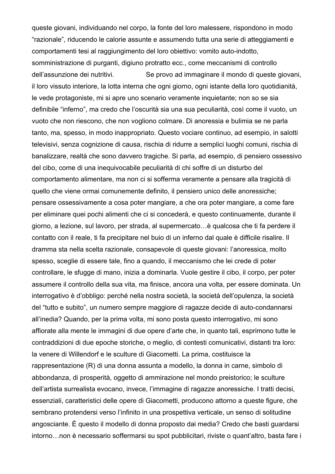queste giovani, individuando nel corpo, la fonte del loro malessere, rispondono in modo "razionale", riducendo le calorie assunte e assumendo tutta una serie di atteggiamenti e comportamenti tesi al raggiungimento del loro obiettivo: vomito auto-indotto, somministrazione di purganti, digiuno protratto ecc., come meccanismi di controllo dell'assunzione dei nutritivi. Se provo ad immaginare il mondo di queste giovani, il loro vissuto interiore, la lotta interna che ogni giorno, ogni istante della loro quotidianità, le vede protagoniste, mi si apre uno scenario veramente inquietante; non so se sia definibile "inferno", ma credo che l'oscurità sia una sua peculiarità, così come il vuoto, un vuoto che non riescono, che non vogliono colmare. Di anoressia e bulimia se ne parla tanto, ma, spesso, in modo inappropriato. Questo vociare continuo, ad esempio, in salotti televisivi, senza cognizione di causa, rischia di ridurre a semplici luoghi comuni, rischia di banalizzare, realtà che sono davvero tragiche. Si parla, ad esempio, di pensiero ossessivo del cibo, come di una inequivocabile peculiarità di chi soffre di un disturbo del comportamento alimentare, ma non ci si sofferma veramente a pensare alla tragicità di quello che viene ormai comunemente definito, il pensiero unico delle anoressiche; pensare ossessivamente a cosa poter mangiare, a che ora poter mangiare, a come fare per eliminare quei pochi alimenti che ci si concederà, e questo continuamente, durante il giorno, a lezione, sul lavoro, per strada, al supermercato…è qualcosa che ti fa perdere il contatto con il reale, ti fa precipitare nel buio di un inferno dal quale è difficile risalire. Il dramma sta nella scelta razionale, consapevole di queste giovani: l'anoressica, molto spesso, sceglie di essere tale, fino a quando, il meccanismo che lei crede di poter controllare, le sfugge di mano, inizia a dominarla. Vuole gestire il cibo, il corpo, per poter assumere il controllo della sua vita, ma finisce, ancora una volta, per essere dominata. Un interrogativo è d'obbligo: perché nella nostra società, la società dell'opulenza, la società del "tutto e subito", un numero sempre maggiore di ragazze decide di auto-condannarsi all'inedia? Quando, per la prima volta, mi sono posta questo interrogativo, mi sono affiorate alla mente le immagini di due opere d'arte che, in quanto tali, esprimono tutte le contraddizioni di due epoche storiche, o meglio, di contesti comunicativi, distanti tra loro: la venere di Willendorf e le sculture di Giacometti. La prima, costituisce la rappresentazione (R) di una donna assunta a modello, la donna in carne, simbolo di abbondanza, di prosperità, oggetto di ammirazione nel mondo preistorico; le sculture dell'artista surrealista evocano, invece, l'immagine di ragazze anoressiche. I tratti decisi, essenziali, caratteristici delle opere di Giacometti, producono attorno a queste figure, che sembrano protendersi verso l'infinito in una prospettiva verticale, un senso di solitudine angosciante. È questo il modello di donna proposto dai media? Credo che basti guardarsi intorno…non è necessario soffermarsi su spot pubblicitari, riviste o quant'altro, basta fare i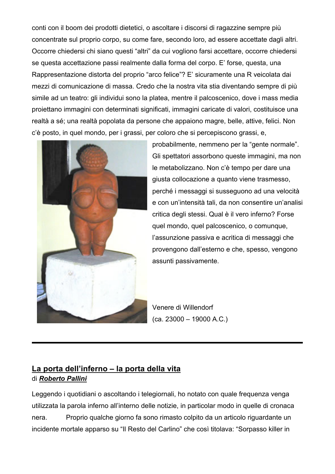conti con il boom dei prodotti dietetici, o ascoltare i discorsi di ragazzine sempre più concentrate sul proprio corpo, su come fare, secondo loro, ad essere accettate dagli altri. Occorre chiedersi chi siano questi "altri" da cui vogliono farsi accettare, occorre chiedersi se questa accettazione passi realmente dalla forma del corpo. E' forse, questa, una Rappresentazione distorta del proprio "arco felice"? E' sicuramente una R veicolata dai mezzi di comunicazione di massa. Credo che la nostra vita stia diventando sempre di più simile ad un teatro: gli individui sono la platea, mentre il palcoscenico, dove i mass media proiettano immagini con determinati significati, immagini caricate di valori, costituisce una realtà a sé; una realtà popolata da persone che appaiono magre, belle, attive, felici. Non c'è posto, in quel mondo, per i grassi, per coloro che si percepiscono grassi, e,



probabilmente, nemmeno per la "gente normale". Gli spettatori assorbono queste immagini, ma non le metabolizzano. Non c'è tempo per dare una giusta collocazione a quanto viene trasmesso, perché i messaggi si susseguono ad una velocità e con un'intensità tali, da non consentire un'analisi critica degli stessi. Qual è il vero inferno? Forse quel mondo, quel palcoscenico, o comunque, l'assunzione passiva e acritica di messaggi che provengono dall'esterno e che, spesso, vengono assunti passivamente.

Venere di Willendorf  $(ca. 23000 - 19000 A.C.)$ 

## **La porta dell'inferno – la porta della vita** di *Roberto Pallini*

Leggendo i quotidiani o ascoltando i telegiornali, ho notato con quale frequenza venga utilizzata la parola inferno all'interno delle notizie, in particolar modo in quelle di cronaca nera. Proprio qualche giorno fa sono rimasto colpito da un articolo riguardante un incidente mortale apparso su "Il Resto del Carlino" che così titolava: "Sorpasso killer in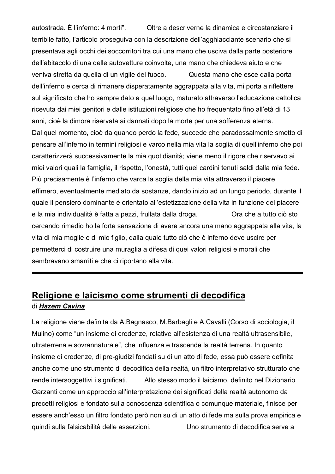autostrada. È l'inferno: 4 morti". Oltre a descriverne la dinamica e circostanziare il terribile fatto, l'articolo proseguiva con la descrizione dell'agghiacciante scenario che si presentava agli occhi dei soccorritori tra cui una mano che usciva dalla parte posteriore dell'abitacolo di una delle autovetture coinvolte, una mano che chiedeva aiuto e che veniva stretta da quella di un vigile del fuoco. Questa mano che esce dalla porta dell'inferno e cerca di rimanere disperatamente aggrappata alla vita, mi porta a riflettere sul significato che ho sempre dato a quel luogo, maturato attraverso l'educazione cattolica ricevuta dai miei genitori e dalle istituzioni religiose che ho frequentato fino all'età di 13 anni, cioè la dimora riservata ai dannati dopo la morte per una sofferenza eterna. Dal quel momento, cioè da quando perdo la fede, succede che paradossalmente smetto di pensare all'inferno in termini religiosi e varco nella mia vita la soglia di quell'inferno che poi caratterizzerà successivamente la mia quotidianità; viene meno il rigore che riservavo ai miei valori quali la famiglia, il rispetto, l'onestà, tutti quei cardini tenuti saldi dalla mia fede. Più precisamente è l'inferno che varca la soglia della mia vita attraverso il piacere effimero, eventualmente mediato da sostanze, dando inizio ad un lungo periodo, durante il quale il pensiero dominante è orientato all'estetizzazione della vita in funzione del piacere e la mia individualità è fatta a pezzi, frullata dalla droga. Ora che a tutto ciò sto cercando rimedio ho la forte sensazione di avere ancora una mano aggrappata alla vita, la vita di mia moglie e di mio figlio, dalla quale tutto ciò che è inferno deve uscire per permetterci di costruire una muraglia a difesa di quei valori religiosi e morali che sembravano smarriti e che ci riportano alla vita.

# **Religione e laicismo come strumenti di decodifica** di *Hazem Cavina*

La religione viene definita da A.Bagnasco, M.Barbagli e A.Cavalli (Corso di sociologia, il Mulino) come "un insieme di credenze, relative all'esistenza di una realtà ultrasensibile, ultraterrena e sovrannaturale", che influenza e trascende la realtà terrena. In quanto insieme di credenze, di pre-giudizi fondati su di un atto di fede, essa può essere definita anche come uno strumento di decodifica della realtà, un filtro interpretativo strutturato che rende intersoggettivi i significati. Allo stesso modo il laicismo, definito nel Dizionario Garzanti come un approccio all'interpretazione dei significati della realtà autonomo da precetti religiosi e fondato sulla conoscenza scientifica o comunque materiale, finisce per essere anch'esso un filtro fondato però non su di un atto di fede ma sulla prova empirica e quindi sulla falsicabilità delle asserzioni. Uno strumento di decodifica serve a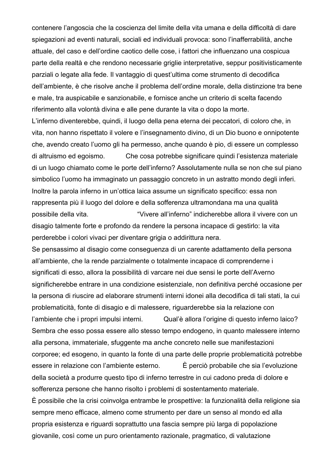contenere l'angoscia che la coscienza del limite della vita umana e della difficoltà di dare spiegazioni ad eventi naturali, sociali ed individuali provoca: sono l'inafferrabilità, anche attuale, del caso e dell'ordine caotico delle cose, i fattori che influenzano una cospicua parte della realtà e che rendono necessarie griglie interpretative, seppur positivisticamente parziali o legate alla fede. Il vantaggio di quest'ultima come strumento di decodifica dell'ambiente, è che risolve anche il problema dell'ordine morale, della distinzione tra bene e male, tra auspicabile e sanzionabile, e fornisce anche un criterio di scelta facendo riferimento alla volontà divina e alle pene durante la vita o dopo la morte.

L'inferno diventerebbe, quindi, il luogo della pena eterna dei peccatori, di coloro che, in vita, non hanno rispettato il volere e l'insegnamento divino, di un Dio buono e onnipotente che, avendo creato l'uomo gli ha permesso, anche quando è pio, di essere un complesso di altruismo ed egoismo. Che cosa potrebbe significare quindi l'esistenza materiale di un luogo chiamato come le porte dell'inferno? Assolutamente nulla se non che sul piano simbolico l'uomo ha immaginato un passaggio concreto in un astratto mondo degli inferi. Inoltre la parola inferno in un'ottica laica assume un significato specifico: essa non rappresenta più il luogo del dolore e della sofferenza ultramondana ma una qualità possibile della vita. "Vivere all'inferno" indicherebbe allora il vivere con un disagio talmente forte e profondo da rendere la persona incapace di gestirlo: la vita perderebbe i colori vivaci per diventare grigia o addirittura nera.

Se pensassimo al disagio come conseguenza di un carente adattamento della persona all'ambiente, che la rende parzialmente o totalmente incapace di comprenderne i significati di esso, allora la possibilità di varcare nei due sensi le porte dell'Averno significherebbe entrare in una condizione esistenziale, non definitiva perché occasione per la persona di riuscire ad elaborare strumenti interni idonei alla decodifica di tali stati, la cui problematicità, fonte di disagio e di malessere, riguarderebbe sia la relazione con l'ambiente che i propri impulsi interni. Qual'è allora l'origine di questo inferno laico? Sembra che esso possa essere allo stesso tempo endogeno, in quanto malessere interno alla persona, immateriale, sfuggente ma anche concreto nelle sue manifestazioni corporee; ed esogeno, in quanto la fonte di una parte delle proprie problematicità potrebbe essere in relazione con l'ambiente esterno. È perciò probabile che sia l'evoluzione della società a produrre questo tipo di inferno terrestre in cui cadono preda di dolore e sofferenza persone che hanno risolto i problemi di sostentamento materiale. È possibile che la crisi coinvolga entrambe le prospettive: la funzionalità della religione sia sempre meno efficace, almeno come strumento per dare un senso al mondo ed alla propria esistenza e riguardi soprattutto una fascia sempre più larga di popolazione giovanile, così come un puro orientamento razionale, pragmatico, di valutazione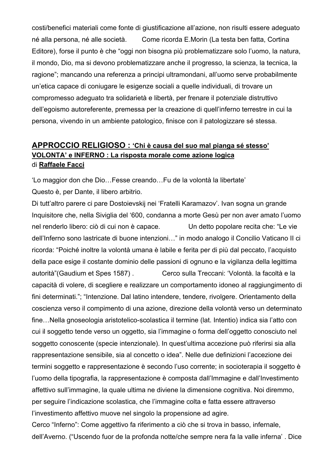costi/benefici materiali come fonte di giustificazione all'azione, non risulti essere adeguato né alla persona, né alle società. Come ricorda E.Morin (La testa ben fatta, Cortina Editore), forse il punto è che "oggi non bisogna più problematizzare solo l'uomo, la natura, il mondo, Dio, ma si devono problematizzare anche il progresso, la scienza, la tecnica, la ragione"; mancando una referenza a principi ultramondani, all'uomo serve probabilmente un'etica capace di coniugare le esigenze sociali a quelle individuali, di trovare un compromesso adeguato tra solidarietà e libertà, per frenare il potenziale distruttivo dell'egoismo autoreferente, premessa per la creazione di quell'inferno terrestre in cui la persona, vivendo in un ambiente patologico, finisce con il patologizzare sé stessa.

#### **APPROCCIO RELIGIOSO : 'Chi è causa del suo mal pianga sé stesso' VOLONTA' e INFERNO : La risposta morale come azione logica** di **Raffaele Facci**

'Lo maggior don che Dio…Fesse creando…Fu de la volontà la libertate' Questo è, per Dante, il libero arbitrio.

Di tutt'altro parere ci pare Dostoievskij nei 'Fratelli Karamazov'. Ivan sogna un grande Inquisitore che, nella Siviglia del '600, condanna a morte Gesù per non aver amato l'uomo nel renderlo libero: ciò di cui non è capace. Un detto popolare recita che: "Le vie dell'Inferno sono lastricate di buone intenzioni…" in modo analogo il Concilio Vaticano II ci ricorda: "Poiché inoltre la volontà umana è labile e ferita per di più dal peccato, l'acquisto della pace esige il costante dominio delle passioni di ognuno e la vigilanza della legittima autorità"(Gaudium et Spes 1587) . Cerco sulla Treccani: 'Volontà. la facoltà e la capacità di volere, di scegliere e realizzare un comportamento idoneo al raggiungimento di fini determinati."; "Intenzione. Dal latino intendere, tendere, rivolgere. Orientamento della coscienza verso il compimento di una azione, direzione della volontà verso un determinato fine…Nella gnoseologia aristotelico-scolastica il termine (lat. Intentio) indica sia l'atto con cui il soggetto tende verso un oggetto, sia l'immagine o forma dell'oggetto conosciuto nel soggetto conoscente (specie intenzionale). In quest'ultima accezione può riferirsi sia alla rappresentazione sensibile, sia al concetto o idea". Nelle due definizioni l'accezione dei termini soggetto e rappresentazione è secondo l'uso corrente; in socioterapia il soggetto è l'uomo della tipografia, la rappresentazione è composta dall'Immagine e dall'Investimento affettivo sull'immagine, la quale ultima ne diviene la dimensione cognitiva. Noi diremmo, per seguire l'indicazione scolastica, che l'immagine colta e fatta essere attraverso l'investimento affettivo muove nel singolo la propensione ad agire.

Cerco "Inferno": Come aggettivo fa riferimento a ciò che si trova in basso, infernale, dell'Averno. ("Uscendo fuor de la profonda notte/che sempre nera fa la valle inferna' . Dice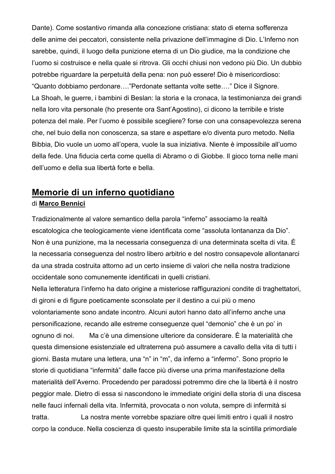Dante). Come sostantivo rimanda alla concezione cristiana: stato di eterna sofferenza delle anime dei peccatori, consistente nella privazione dell'immagine di Dio. L'Inferno non sarebbe, quindi, il luogo della punizione eterna di un Dio giudice, ma la condizione che l'uomo si costruisce e nella quale si ritrova. Gli occhi chiusi non vedono più Dio. Un dubbio potrebbe riguardare la perpetuità della pena: non può essere! Dio è misericordioso: "Quanto dobbiamo perdonare…."Perdonate settanta volte sette…." Dice il Signore. La Shoah, le guerre, i bambini di Beslan: la storia e la cronaca, la testimonianza dei grandi nella loro vita personale (ho presente ora Sant'Agostino), ci dicono la terribile e triste potenza del male. Per l'uomo è possibile scegliere? forse con una consapevolezza serena che, nel buio della non conoscenza, sa stare e aspettare e/o diventa puro metodo. Nella Bibbia, Dio vuole un uomo all'opera, vuole la sua iniziativa. Niente è impossibile all'uomo della fede. Una fiducia certa come quella di Abramo o di Giobbe. Il gioco torna nelle mani dell'uomo e della sua libertà forte e bella.

# **Memorie di un inferno quotidiano**

#### di **Marco Bennici**

Tradizionalmente al valore semantico della parola "inferno" associamo la realtà escatologica che teologicamente viene identificata come "assoluta lontananza da Dio". Non è una punizione, ma la necessaria conseguenza di una determinata scelta di vita. È la necessaria conseguenza del nostro libero arbitrio e del nostro consapevole allontanarci da una strada costruita attorno ad un certo insieme di valori che nella nostra tradizione occidentale sono comunemente identificati in quelli cristiani.

Nella letteratura l'inferno ha dato origine a misteriose raffigurazioni condite di traghettatori, di gironi e di figure poeticamente sconsolate per il destino a cui più o meno volontariamente sono andate incontro. Alcuni autori hanno dato all'inferno anche una personificazione, recando alle estreme conseguenze quel "demonio" che è un po' in ognuno di noi. Ma c'è una dimensione ulteriore da considerare. È la materialità che questa dimensione esistenziale ed ultraterrena può assumere a cavallo della vita di tutti i giorni. Basta mutare una lettera, una "n" in "m", da inferno a "infermo". Sono proprio le storie di quotidiana "infermità" dalle facce più diverse una prima manifestazione della materialità dell'Averno. Procedendo per paradossi potremmo dire che la libertà è il nostro peggior male. Dietro di essa si nascondono le immediate origini della storia di una discesa nelle fauci infernali della vita. Infermità, provocata o non voluta, sempre di infermità si tratta. La nostra mente vorrebbe spaziare oltre quei limiti entro i quali il nostro corpo la conduce. Nella coscienza di questo insuperabile limite sta la scintilla primordiale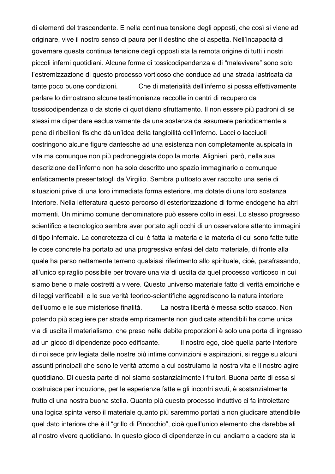di elementi del trascendente. E nella continua tensione degli opposti, che così si viene ad originare, vive il nostro senso di paura per il destino che ci aspetta. Nell'incapacità di governare questa continua tensione degli opposti sta la remota origine di tutti i nostri piccoli inferni quotidiani. Alcune forme di tossicodipendenza e di "malevivere" sono solo l'estremizzazione di questo processo vorticoso che conduce ad una strada lastricata da tante poco buone condizioni. Che di materialità dell'inferno si possa effettivamente parlare lo dimostrano alcune testimonianze raccolte in centri di recupero da tossicodipendenza o da storie di quotidiano sfruttamento. Il non essere più padroni di se stessi ma dipendere esclusivamente da una sostanza da assumere periodicamente a pena di ribellioni fisiche dà un'idea della tangibilità dell'inferno. Lacci o lacciuoli costringono alcune figure dantesche ad una esistenza non completamente auspicata in vita ma comunque non più padroneggiata dopo la morte. Alighieri, però, nella sua descrizione dell'inferno non ha solo descritto uno spazio immaginario o comunque enfaticamente presentatogli da Virgilio. Sembra piuttosto aver raccolto una serie di situazioni prive di una loro immediata forma esteriore, ma dotate di una loro sostanza interiore. Nella letteratura questo percorso di esteriorizzazione di forme endogene ha altri momenti. Un minimo comune denominatore può essere colto in essi. Lo stesso progresso scientifico e tecnologico sembra aver portato agli occhi di un osservatore attento immagini di tipo infernale. La concretezza di cui è fatta la materia e la materia di cui sono fatte tutte le cose concrete ha portato ad una progressiva enfasi del dato materiale, di fronte alla quale ha perso nettamente terreno qualsiasi riferimento allo spirituale, cioè, parafrasando, all'unico spiraglio possibile per trovare una via di uscita da quel processo vorticoso in cui siamo bene o male costretti a vivere. Questo universo materiale fatto di verità empiriche e di leggi verificabili e le sue verità teorico-scientifiche aggrediscono la natura interiore dell'uomo e le sue misteriose finalità. La nostra libertà è messa sotto scacco. Non potendo più scegliere per strade empiricamente non giudicate attendibili ha come unica via di uscita il materialismo, che preso nelle debite proporzioni è solo una porta di ingresso ad un gioco di dipendenze poco edificante. Il nostro ego, cioè quella parte interiore di noi sede privilegiata delle nostre più intime convinzioni e aspirazioni, si regge su alcuni assunti principali che sono le verità attorno a cui costruiamo la nostra vita e il nostro agire quotidiano. Di questa parte di noi siamo sostanzialmente i fruitori. Buona parte di essa si costruisce per induzione, per le esperienze fatte e gli incontri avuti, è sostanzialmente frutto di una nostra buona stella. Quanto più questo processo induttivo ci fa introiettare una logica spinta verso il materiale quanto più saremmo portati a non giudicare attendibile quel dato interiore che è il "grillo di Pinocchio", cioè quell'unico elemento che darebbe ali al nostro vivere quotidiano. In questo gioco di dipendenze in cui andiamo a cadere sta la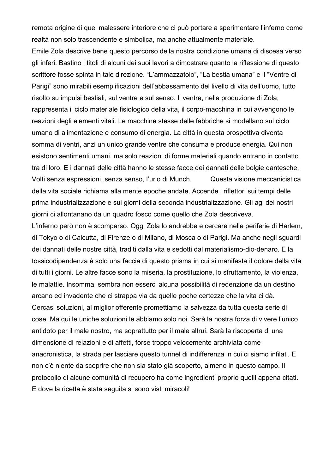remota origine di quel malessere interiore che ci può portare a sperimentare l'inferno come realtà non solo trascendente e simbolica, ma anche attualmente materiale.

Emile Zola descrive bene questo percorso della nostra condizione umana di discesa verso gli inferi. Bastino i titoli di alcuni dei suoi lavori a dimostrare quanto la riflessione di questo scrittore fosse spinta in tale direzione. "L'ammazzatoio", "La bestia umana" e il "Ventre di Parigi" sono mirabili esemplificazioni dell'abbassamento del livello di vita dell'uomo, tutto risolto su impulsi bestiali, sul ventre e sul senso. Il ventre, nella produzione di Zola, rappresenta il ciclo materiale fisiologico della vita, il corpo-macchina in cui avvengono le reazioni degli elementi vitali. Le macchine stesse delle fabbriche si modellano sul ciclo umano di alimentazione e consumo di energia. La città in questa prospettiva diventa somma di ventri, anzi un unico grande ventre che consuma e produce energia. Qui non esistono sentimenti umani, ma solo reazioni di forme materiali quando entrano in contatto tra di loro. E i dannati delle città hanno le stesse facce dei dannati delle bolgie dantesche. Volti senza espressioni, senza senso, l'urlo di Munch. Questa visione meccanicistica della vita sociale richiama alla mente epoche andate. Accende i riflettori sui tempi delle prima industrializzazione e sui giorni della seconda industrializzazione. Gli agi dei nostri giorni ci allontanano da un quadro fosco come quello che Zola descriveva.

L'inferno però non è scomparso. Oggi Zola lo andrebbe e cercare nelle periferie di Harlem, di Tokyo o di Calcutta, di Firenze o di Milano, di Mosca o di Parigi. Ma anche negli sguardi dei dannati delle nostre città, traditi dalla vita e sedotti dal materialismo-dio-denaro. E la tossicodipendenza è solo una faccia di questo prisma in cui si manifesta il dolore della vita di tutti i giorni. Le altre facce sono la miseria, la prostituzione, lo sfruttamento, la violenza, le malattie. Insomma, sembra non esserci alcuna possibilità di redenzione da un destino arcano ed invadente che ci strappa via da quelle poche certezze che la vita ci dà. Cercasi soluzioni, al miglior offerente promettiamo la salvezza da tutta questa serie di cose. Ma qui le uniche soluzioni le abbiamo solo noi. Sarà la nostra forza di vivere l'unico antidoto per il male nostro, ma soprattutto per il male altrui. Sarà la riscoperta di una dimensione di relazioni e di affetti, forse troppo velocemente archiviata come anacronistica, la strada per lasciare questo tunnel di indifferenza in cui ci siamo infilati. E non c'è niente da scoprire che non sia stato già scoperto, almeno in questo campo. Il protocollo di alcune comunità di recupero ha come ingredienti proprio quelli appena citati. E dove la ricetta è stata seguita si sono visti miracoli!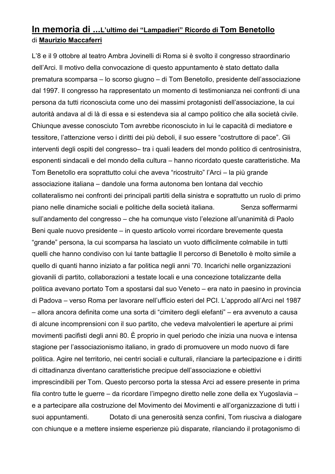# **In memoria di ...L'ultimo dei "Lampadieri" Ricordo di Tom Benetollo** di **Maurizio Maccaferri**

L'8 e il 9 ottobre al teatro Ambra Jovinelli di Roma si è svolto il congresso straordinario dell'Arci. Il motivo della convocazione di questo appuntamento è stato dettato dalla prematura scomparsa – lo scorso giugno – di Tom Benetollo, presidente dell'associazione dal 1997. Il congresso ha rappresentato un momento di testimonianza nei confronti di una persona da tutti riconosciuta come uno dei massimi protagonisti dell'associazione, la cui autorità andava al di là di essa e si estendeva sia al campo politico che alla società civile. Chiunque avesse conosciuto Tom avrebbe riconosciuto in lui le capacità di mediatore e tessitore, l'attenzione verso i diritti dei più deboli, il suo essere "costruttore di pace". Gli interventi degli ospiti del congresso– tra i quali leaders del mondo politico di centrosinistra, esponenti sindacali e del mondo della cultura – hanno ricordato queste caratteristiche. Ma Tom Benetollo era soprattutto colui che aveva "ricostruito" l'Arci – la più grande associazione italiana – dandole una forma autonoma ben lontana dal vecchio collateralismo nei confronti dei principali partiti della sinistra e soprattutto un ruolo di primo piano nelle dinamiche sociali e politiche della società italiana. Senza soffermarmi sull'andamento del congresso – che ha comunque visto l'elezione all'unanimità di Paolo Beni quale nuovo presidente – in questo articolo vorrei ricordare brevemente questa "grande" persona, la cui scomparsa ha lasciato un vuoto difficilmente colmabile in tutti quelli che hanno condiviso con lui tante battaglie Il percorso di Benetollo è molto simile a quello di quanti hanno iniziato a far politica negli anni '70. Incarichi nelle organizzazioni giovanili di partito, collaborazioni a testate locali e una concezione totalizzante della politica avevano portato Tom a spostarsi dal suo Veneto – era nato in paesino in provincia di Padova – verso Roma per lavorare nell'ufficio esteri del PCI. L'approdo all'Arci nel 1987 – allora ancora definita come una sorta di "cimitero degli elefanti" – era avvenuto a causa di alcune incomprensioni con il suo partito, che vedeva malvolentieri le aperture ai primi movimenti pacifisti degli anni 80. È proprio in quel periodo che inizia una nuova e intensa stagione per l'associazionismo italiano, in grado di promuovere un modo nuovo di fare politica. Agire nel territorio, nei centri sociali e culturali, rilanciare la partecipazione e i diritti di cittadinanza diventano caratteristiche precipue dell'associazione e obiettivi imprescindibili per Tom. Questo percorso porta la stessa Arci ad essere presente in prima fila contro tutte le guerre – da ricordare l'impegno diretto nelle zone della ex Yugoslavia – e a partecipare alla costruzione del Movimento dei Movimenti e all'organizzazione di tutti i suoi appuntamenti. Dotato di una generosità senza confini, Tom riusciva a dialogare con chiunque e a mettere insieme esperienze più disparate, rilanciando il protagonismo di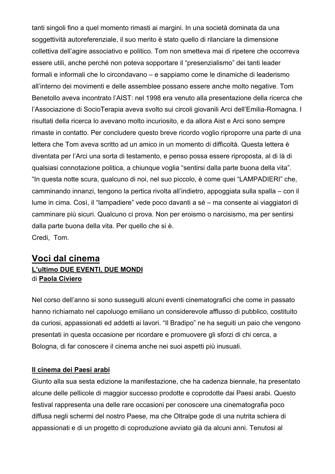tanti singoli fino a quel momento rimasti ai margini. In una società dominata da una soggettività autoreferenziale, il suo merito è stato quello di rilanciare la dimensione collettiva dell'agire associativo e politico. Tom non smetteva mai di ripetere che occorreva essere utili, anche perché non poteva sopportare il "presenzialismo" dei tanti leader formali e informali che lo circondavano – e sappiamo come le dinamiche di leaderismo all'interno dei movimenti e delle assemblee possano essere anche molto negative. Tom Benetollo aveva incontrato l'AIST: nel 1998 era venuto alla presentazione della ricerca che l'Associazione di SocioTerapia aveva svolto sui circoli giovanili Arci dell'Emilia-Romagna. I risultati della ricerca lo avevano molto incuriosito, e da allora Aist e Arci sono sempre rimaste in contatto. Per concludere questo breve ricordo voglio riproporre una parte di una lettera che Tom aveva scritto ad un amico in un momento di difficoltà. Questa lettera è diventata per l'Arci una sorta di testamento, e penso possa essere riproposta, al di là di qualsiasi connotazione politica, a chiunque voglia "sentirsi dalla parte buona della vita". "In questa notte scura, qualcuno di noi, nel suo piccolo, è come quei "LAMPADIERI" che, camminando innanzi, tengono la pertica rivolta all'indietro, appoggiata sulla spalla – con il lume in cima. Così, il "lampadiere" vede poco davanti a sé – ma consente ai viaggiatori di camminare più sicuri. Qualcuno ci prova. Non per eroismo o narcisismo, ma per sentirsi dalla parte buona della vita. Per quello che si è. Credi, Tom.

## **Voci dal cinema L'ultimo DUE EVENTI, DUE MONDI** di **Paola Civiero**

Nel corso dell'anno si sono susseguiti alcuni eventi cinematografici che come in passato hanno richiamato nel capoluogo emiliano un considerevole afflusso di pubblico, costituito da curiosi, appassionati ed addetti ai lavori. "Il Bradipo" ne ha seguiti un paio che vengono presentati in questa occasione per ricordare e promuovere gli sforzi di chi cerca, a Bologna, di far conoscere il cinema anche nei suoi aspetti più inusuali.

#### **Il cinema dei Paesi arabi**

Giunto alla sua sesta edizione la manifestazione, che ha cadenza biennale, ha presentato alcune delle pellicole di maggior successo prodotte e coprodotte dai Paesi arabi. Questo festival rappresenta una delle rare occasioni per conoscere una cinematografia poco diffusa negli schermi del nostro Paese, ma che Oltralpe gode di una nutrita schiera di appassionati e di un progetto di coproduzione avviato già da alcuni anni. Tenutosi al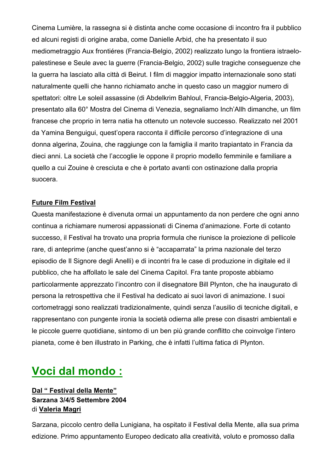Cinema Lumière, la rassegna si è distinta anche come occasione di incontro fra il pubblico ed alcuni registi di origine araba, come Danielle Arbid, che ha presentato il suo mediometraggio Aux frontiéres (Francia-Belgio, 2002) realizzato lungo la frontiera istraelopalestinese e Seule avec la guerre (Francia-Belgio, 2002) sulle tragiche conseguenze che la guerra ha lasciato alla città di Beirut. I film di maggior impatto internazionale sono stati naturalmente quelli che hanno richiamato anche in questo caso un maggior numero di spettatori: oltre Le soleil assassine (di Abdelkrim Bahloul, Francia-Belgio-Algeria, 2003), presentato alla 60° Mostra del Cinema di Venezia, segnaliamo Inch'Allh dimanche, un film francese che proprio in terra natia ha ottenuto un notevole successo. Realizzato nel 2001 da Yamina Benguigui, quest'opera racconta il difficile percorso d'integrazione di una donna algerina, Zouina, che raggiunge con la famiglia il marito trapiantato in Francia da dieci anni. La società che l'accoglie le oppone il proprio modello femminile e familiare a quello a cui Zouine è cresciuta e che è portato avanti con ostinazione dalla propria suocera.

#### **Future Film Festival**

Questa manifestazione è divenuta ormai un appuntamento da non perdere che ogni anno continua a richiamare numerosi appassionati di Cinema d'animazione. Forte di cotanto successo, il Festival ha trovato una propria formula che riunisce la proiezione di pellicole rare, di anteprime (anche quest'anno si è "accaparrata" la prima nazionale del terzo episodio de Il Signore degli Anelli) e di incontri fra le case di produzione in digitale ed il pubblico, che ha affollato le sale del Cinema Capitol. Fra tante proposte abbiamo particolarmente apprezzato l'incontro con il disegnatore Bill Plynton, che ha inaugurato di persona la retrospettiva che il Festival ha dedicato ai suoi lavori di animazione. I suoi cortometraggi sono realizzati tradizionalmente, quindi senza l'ausilio di tecniche digitali, e rappresentano con pungente ironia la società odierna alle prese con disastri ambientali e le piccole guerre quotidiane, sintomo di un ben più grande conflitto che coinvolge l'intero pianeta, come è ben illustrato in Parking, che è infatti l'ultima fatica di Plynton.

# **Voci dal mondo :**

#### **Dal " Festival della Mente" Sarzana 3/4/5 Settembre 2004** di **Valeria Magri**

Sarzana, piccolo centro della Lunigiana, ha ospitato il Festival della Mente, alla sua prima edizione. Primo appuntamento Europeo dedicato alla creatività, voluto e promosso dalla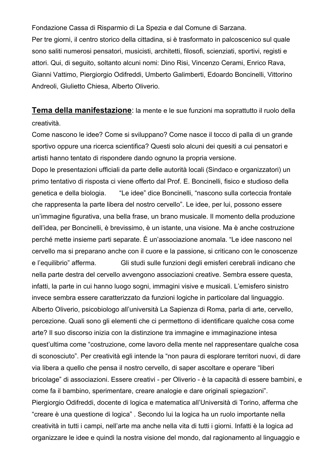Fondazione Cassa di Risparmio di La Spezia e dal Comune di Sarzana. Per tre giorni, il centro storico della cittadina, si è trasformato in palcoscenico sul quale sono saliti numerosi pensatori, musicisti, architetti, filosofi, scienziati, sportivi, registi e attori. Qui, di seguito, soltanto alcuni nomi: Dino Risi, Vincenzo Cerami, Enrico Rava, Gianni Vattimo, Piergiorgio Odifreddi, Umberto Galimberti, Edoardo Boncinelli, Vittorino Andreoli, Giulietto Chiesa, Alberto Oliverio.

**Tema della manifestazione**: la mente e le sue funzioni ma soprattutto il ruolo della creatività.

Come nascono le idee? Come si sviluppano? Come nasce il tocco di palla di un grande sportivo oppure una ricerca scientifica? Questi solo alcuni dei quesiti a cui pensatori e artisti hanno tentato di rispondere dando ognuno la propria versione.

Dopo le presentazioni ufficiali da parte delle autorità locali (Sindaco e organizzatori) un primo tentativo di risposta ci viene offerto dal Prof. E. Boncinelli, fisico e studioso della genetica e della biologia. "Le idee" dice Boncinelli, "nascono sulla corteccia frontale che rappresenta la parte libera del nostro cervello". Le idee, per lui, possono essere un'immagine figurativa, una bella frase, un brano musicale. Il momento della produzione dell'idea, per Boncinelli, è brevissimo, è un istante, una visione. Ma è anche costruzione perché mette insieme parti separate. È un'associazione anomala. "Le idee nascono nel cervello ma si preparano anche con il cuore e la passione, si criticano con le conoscenze e l'equilibrio" afferma. Gli studi sulle funzioni degli emisferi cerebrali indicano che nella parte destra del cervello avvengono associazioni creative. Sembra essere questa, infatti, la parte in cui hanno luogo sogni, immagini visive e musicali. L'emisfero sinistro invece sembra essere caratterizzato da funzioni logiche in particolare dal linguaggio. Alberto Oliverio, psicobiologo all'università La Sapienza di Roma, parla di arte, cervello, percezione. Quali sono gli elementi che ci permettono di identificare qualche cosa come arte? Il suo discorso inizia con la distinzione tra immagine e immaginazione intesa quest'ultima come "costruzione, come lavoro della mente nel rappresentare qualche cosa di sconosciuto". Per creatività egli intende la "non paura di esplorare territori nuovi, di dare via libera a quello che pensa il nostro cervello, di saper ascoltare e operare "liberi bricolage" di associazioni. Essere creativi - per Oliverio - è la capacità di essere bambini, e come fa il bambino, sperimentare, creare analogie e dare originali spiegazioni". Piergiorgio Odifreddi, docente di logica e matematica all'Università di Torino, afferma che "creare è una questione di logica" . Secondo lui la logica ha un ruolo importante nella creatività in tutti i campi, nell'arte ma anche nella vita di tutti i giorni. Infatti è la logica ad organizzare le idee e quindi la nostra visione del mondo, dal ragionamento al linguaggio e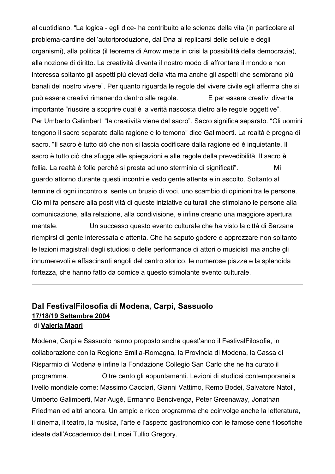al quotidiano. "La logica - egli dice- ha contribuito alle scienze della vita (in particolare al problema-cardine dell'autoriproduzione, dal Dna al replicarsi delle cellule e degli organismi), alla politica (il teorema di Arrow mette in crisi la possibilità della democrazia), alla nozione di diritto. La creatività diventa il nostro modo di affrontare il mondo e non interessa soltanto gli aspetti più elevati della vita ma anche gli aspetti che sembrano più banali del nostro vivere". Per quanto riguarda le regole del vivere civile egli afferma che si può essere creativi rimanendo dentro alle regole. E per essere creativi diventa importante "riuscire a scoprire qual è la verità nascosta dietro alle regole oggettive". Per Umberto Galimberti "la creatività viene dal sacro". Sacro significa separato. "Gli uomini tengono il sacro separato dalla ragione e lo temono" dice Galimberti. La realtà è pregna di sacro. "Il sacro è tutto ciò che non si lascia codificare dalla ragione ed è inquietante. Il sacro è tutto ciò che sfugge alle spiegazioni e alle regole della prevedibilità. Il sacro è follia. La realtà è folle perché si presta ad uno sterminio di significati". Mi guardo attorno durante questi incontri e vedo gente attenta e in ascolto. Soltanto al termine di ogni incontro si sente un brusio di voci, uno scambio di opinioni tra le persone. Ciò mi fa pensare alla positività di queste iniziative culturali che stimolano le persone alla comunicazione, alla relazione, alla condivisione, e infine creano una maggiore apertura mentale. Un successo questo evento culturale che ha visto la città di Sarzana riempirsi di gente interessata e attenta. Che ha saputo godere e apprezzare non soltanto le lezioni magistrali degli studiosi o delle performance di attori o musicisti ma anche gli innumerevoli e affascinanti angoli del centro storico, le numerose piazze e la splendida fortezza, che hanno fatto da cornice a questo stimolante evento culturale.

#### **Dal FestivalFilosofia di Modena, Carpi, Sassuolo 17/18/19 Settembre 2004** di **Valeria Magri**

Modena, Carpi e Sassuolo hanno proposto anche quest'anno il FestivalFilosofia, in collaborazione con la Regione Emilia-Romagna, la Provincia di Modena, la Cassa di Risparmio di Modena e infine la Fondazione Collegio San Carlo che ne ha curato il programma. Oltre cento gli appuntamenti. Lezioni di studiosi contemporanei a livello mondiale come: Massimo Cacciari, Gianni Vattimo, Remo Bodei, Salvatore Natoli, Umberto Galimberti, Mar Augé, Ermanno Bencivenga, Peter Greenaway, Jonathan Friedman ed altri ancora. Un ampio e ricco programma che coinvolge anche la letteratura, il cinema, il teatro, la musica, l'arte e l'aspetto gastronomico con le famose cene filosofiche ideate dall'Accademico dei Lincei Tullio Gregory.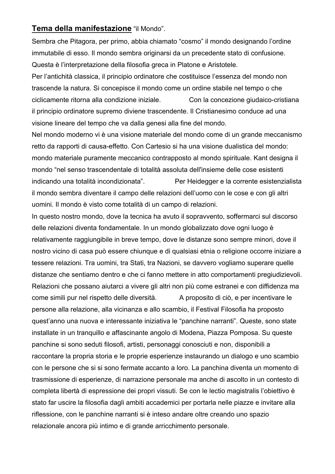#### **Tema della manifestazione** "il Mondo".

Sembra che Pitagora, per primo, abbia chiamato "cosmo" il mondo designando l'ordine immutabile di esso. Il mondo sembra originarsi da un precedente stato di confusione. Questa è l'interpretazione della filosofia greca in Platone e Aristotele.

Per l'antichità classica, il principio ordinatore che costituisce l'essenza del mondo non trascende la natura. Si concepisce il mondo come un ordine stabile nel tempo o che ciclicamente ritorna alla condizione iniziale. Con la concezione giudaico-cristiana il principio ordinatore supremo diviene trascendente. Il Cristianesimo conduce ad una visione lineare del tempo che va dalla genesi alla fine del mondo.

Nel mondo moderno vi è una visione materiale del mondo come di un grande meccanismo retto da rapporti di causa-effetto. Con Cartesio si ha una visione dualistica del mondo: mondo materiale puramente meccanico contrapposto al mondo spirituale. Kant designa il mondo "nel senso trascendentale di totalità assoluta dell'insieme delle cose esistenti indicando una totalità incondizionata". Per Heidegger e la corrente esistenzialista il mondo sembra diventare il campo delle relazioni dell'uomo con le cose e con gli altri uomini. Il mondo è visto come totalità di un campo di relazioni.

In questo nostro mondo, dove la tecnica ha avuto il sopravvento, soffermarci sul discorso delle relazioni diventa fondamentale. In un mondo globalizzato dove ogni luogo è relativamente raggiungibile in breve tempo, dove le distanze sono sempre minori, dove il nostro vicino di casa può essere chiunque e di qualsiasi etnia o religione occorre iniziare a tessere relazioni. Tra uomini, tra Stati, tra Nazioni, se davvero vogliamo superare quelle distanze che sentiamo dentro e che ci fanno mettere in atto comportamenti pregiudizievoli. Relazioni che possano aiutarci a vivere gli altri non più come estranei e con diffidenza ma come simili pur nel rispetto delle diversità. A proposito di ciò, e per incentivare le persone alla relazione, alla vicinanza e allo scambio, il Festival Filosofia ha proposto quest'anno una nuova e interessante iniziativa le "panchine narranti". Queste, sono state installate in un tranquillo e affascinante angolo di Modena, Piazza Pomposa. Su queste panchine si sono seduti filosofi, artisti, personaggi conosciuti e non, disponibili a raccontare la propria storia e le proprie esperienze instaurando un dialogo e uno scambio con le persone che si si sono fermate accanto a loro. La panchina diventa un momento di trasmissione di esperienze, di narrazione personale ma anche di ascolto in un contesto di completa libertà di espressione dei propri vissuti. Se con le lectio magistralis l'obiettivo è stato far uscire la filosofia dagli ambiti accademici per portarla nelle piazze e invitare alla riflessione, con le panchine narranti si è inteso andare oltre creando uno spazio relazionale ancora più intimo e di grande arricchimento personale.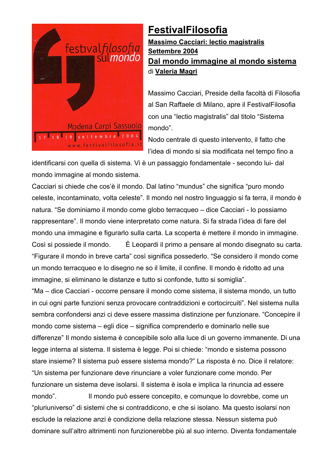

# **FestivalFilosofia**

**Massimo Cacciari: lectio magistralis Settembre 2004 Dal mondo immagine al mondo sistema** di **Valeria Magri**

Massimo Cacciari, Preside della facoltà di Filosofia al San Raffaele di Milano, apre il FestivalFilosofia con una "lectio magistralis" dal titolo "Sistema mondo".

Nodo centrale di questo intervento, il fatto che l'idea di mondo si sia modificata nel tempo fino a

identificarsi con quella di sistema. Vi è un passaggio fondamentale - secondo lui- dal mondo immagine al mondo sistema.

Cacciari si chiede che cos'è il mondo. Dal latino "mundus" che significa "puro mondo celeste, incontaminato, volta celeste". Il mondo nel nostro linguaggio si fa terra, il mondo è natura. "Se dominiamo il mondo come globo terracqueo – dice Cacciari - lo possiamo rappresentare". Il mondo viene interpretato come natura. Si fa strada l'idea di fare del mondo una immagine e figurarlo sulla carta. La scoperta è mettere il mondo in immagine. Così si possiede il mondo. È Leopardi il primo a pensare al mondo disegnato su carta. "Figurare il mondo in breve carta" così significa possederlo. "Se considero il mondo come un mondo terracqueo e lo disegno ne so il limite, il confine. Il mondo è ridotto ad una immagine, si eliminano le distanze e tutto si confonde, tutto si somiglia".

"Ma – dice Cacciari - occorre pensare il mondo come sistema, il sistema mondo, un tutto in cui ogni parte funzioni senza provocare contraddizioni e cortocircuiti". Nel sistema nulla sembra confondersi anzi ci deve essere massima distinzione per funzionare. "Concepire il mondo come sistema – egli dice – significa comprenderlo e dominarlo nelle sue differenze" Il mondo sistema è concepibile solo alla luce di un governo immanente. Di una legge interna al sistema. Il sistema è legge. Poi si chiede: "mondo e sistema possono stare insieme? Il sistema può essere sistema mondo?" La risposta è no. Dice il relatore: "Un sistema per funzionare deve rinunciare a voler funzionare come mondo. Per funzionare un sistema deve isolarsi. Il sistema è isola e implica la rinuncia ad essere mondo". Il mondo può essere concepito, e comunque lo dovrebbe, come un "pluriuniverso" di sistemi che si contraddicono, e che si isolano. Ma questo isolarsi non esclude la relazione anzi è condizione della relazione stessa. Nessun sistema può dominare sull'altro altrimenti non funzionerebbe più al suo interno. Diventa fondamentale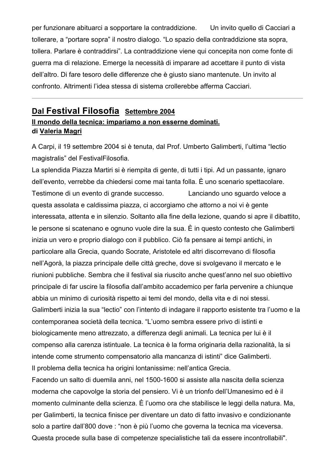per funzionare abituarci a sopportare la contraddizione. Un invito quello di Cacciari a tollerare, a "portare sopra" il nostro dialogo. "Lo spazio della contraddizione sta sopra, tollera. Parlare è contraddirsi". La contraddizione viene qui concepita non come fonte di guerra ma di relazione. Emerge la necessità di imparare ad accettare il punto di vista dell'altro. Di fare tesoro delle differenze che è giusto siano mantenute. Un invito al confronto. Altrimenti l'idea stessa di sistema crollerebbe afferma Cacciari.

## **Dal Festival Filosofia Settembre 2004**

#### **Il mondo della tecnica: impariamo a non esserne dominati. di Valeria Magri**

A Carpi, il 19 settembre 2004 si è tenuta, dal Prof. Umberto Galimberti, l'ultima "lectio magistralis" del FestivalFilosofia.

La splendida Piazza Martiri si è riempita di gente, di tutti i tipi. Ad un passante, ignaro dell'evento, verrebbe da chiedersi come mai tanta folla. È uno scenario spettacolare. Testimone di un evento di grande successo. Lanciando uno sguardo veloce a questa assolata e caldissima piazza, ci accorgiamo che attorno a noi vi è gente interessata, attenta e in silenzio. Soltanto alla fine della lezione, quando si apre il dibattito, le persone si scatenano e ognuno vuole dire la sua. È in questo contesto che Galimberti inizia un vero e proprio dialogo con il pubblico. Ciò fa pensare ai tempi antichi, in particolare alla Grecia, quando Socrate, Aristotele ed altri discorrevano di filosofia nell'Agorà, la piazza principale delle città greche, dove si svolgevano il mercato e le riunioni pubbliche. Sembra che il festival sia riuscito anche quest'anno nel suo obiettivo principale di far uscire la filosofia dall'ambito accademico per farla pervenire a chiunque abbia un minimo di curiosità rispetto ai temi del mondo, della vita e di noi stessi. Galimberti inizia la sua "lectio" con l'intento di indagare il rapporto esistente tra l'uomo e la contemporanea società della tecnica. "L'uomo sembra essere privo di istinti e biologicamente meno attrezzato, a differenza degli animali. La tecnica per lui è il compenso alla carenza istintuale. La tecnica è la forma originaria della razionalità, la si intende come strumento compensatorio alla mancanza di istinti" dice Galimberti. Il problema della tecnica ha origini lontanissime: nell'antica Grecia.

Facendo un salto di duemila anni, nel 1500-1600 si assiste alla nascita della scienza moderna che capovolge la storia del pensiero. Vi è un trionfo dell'Umanesimo ed è il momento culminante della scienza. È l'uomo ora che stabilisce le leggi della natura. Ma, per Galimberti, la tecnica finisce per diventare un dato di fatto invasivo e condizionante solo a partire dall'800 dove : "non è più l'uomo che governa la tecnica ma viceversa. Questa procede sulla base di competenze specialistiche tali da essere incontrollabili".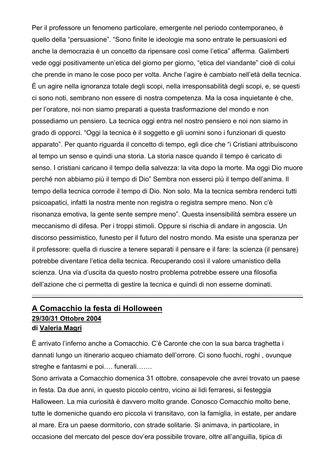Per il professore un fenomeno particolare, emergente nel periodo contemporaneo, è quello della "persuasione". "Sono finite le ideologie ma sono entrate le persuasioni ed anche la democrazia è un concetto da ripensare così come l'etica" afferma. Galimberti vede oggi positivamente un'etica del giorno per giorno, "etica del viandante" cioè di colui che prende in mano le cose poco per volta. Anche l'agire è cambiato nell'età della tecnica. È un agire nella ignoranza totale degli scopi, nella irresponsabilità degli scopi, e, se questi ci sono noti, sembrano non essere di nostra competenza. Ma la cosa inquietante è che, per l'oratore, noi non siamo preparati a questa trasformazione del mondo e non possediamo un pensiero. La tecnica oggi entra nel nostro pensiero e noi non siamo in grado di opporci. "Oggi la tecnica è il soggetto e gli uomini sono i funzionari di questo apparato". Per quanto riguarda il concetto di tempo, egli dice che "i Cristiani attribuiscono al tempo un senso e quindi una storia. La storia nasce quando il tempo è caricato di senso. I cristiani caricano il tempo della salvezza: la vita dopo la morte. Ma oggi Dio muore perché non abbiamo più il tempo di Dio" Sembra non esserci più il tempo dell'anima. Il tempo della tecnica corrode il tempo di Dio. Non solo. Ma la tecnica sembra renderci tutti psicoapatici, infatti la nostra mente non registra o registra sempre meno. Non c'è risonanza emotiva, la gente sente sempre meno". Questa insensibilità sembra essere un meccanismo di difesa. Per i troppi stimoli. Oppure si rischia di andare in angoscia. Un discorso pessimistico, funesto per il futuro del nostro mondo. Ma esiste una speranza per il professore: quella di riuscire a tenere separati il pensare e il fare: la scienza (il pensare) potrebbe diventare l'etica della tecnica. Recuperando così il valore umanistico della scienza. Una via d'uscita da questo nostro problema potrebbe essere una filosofia dell'azione che ci permetta di gestire la tecnica e quindi di non esserne dominati.

#### **A Comacchio la festa di Holloween 29/30/31 Ottobre 2004 di Valeria Magri**

È arrivato l'inferno anche a Comacchio. C'è Caronte che con la sua barca traghetta i dannati lungo un itinerario acqueo chiamato dell'orrore. Ci sono fuochi, roghi , ovunque streghe e fantasmi e poi…. funerali…….

Sono arrivata a Comacchio domenica 31 ottobre, consapevole che avrei trovato un paese in festa. Da due anni, in questo piccolo centro, vicino ai lidi ferraresi, si festeggia Halloween. La mia curiosità è davvero molto grande. Conosco Comacchio molto bene, tutte le domeniche quando ero piccola vi transitavo, con la famiglia, in estate, per andare al mare. Era un paese dormitorio, con strade solitarie. Si animava, in particolare, in occasione del mercato del pesce dov'era possibile trovare, oltre all'anguilla, tipica di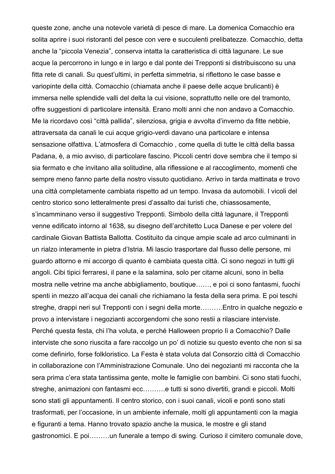queste zone, anche una notevole varietà di pesce di mare. La domenica Comacchio era solita aprire i suoi ristoranti del pesce con vere e succulenti prelibatezze. Comacchio, detta anche la "piccola Venezia", conserva intatta la caratteristica di città lagunare. Le sue acque la percorrono in lungo e in largo e dal ponte dei Trepponti si distribuiscono su una fitta rete di canali. Su quest'ultimi, in perfetta simmetria, si riflettono le case basse e variopinte della città. Comacchio (chiamata anche il paese delle acque brulicanti) è immersa nelle splendide valli del delta la cui visione, soprattutto nelle ore del tramonto, offre suggestioni di particolare intensità. Erano molti anni che non andavo a Comacchio. Me la ricordavo così "città pallida", silenziosa, grigia e avvolta d'inverno da fitte nebbie, attraversata da canali le cui acque grigio-verdi davano una particolare e intensa sensazione olfattiva. L'atmosfera di Comacchio , come quella di tutte le città della bassa Padana, è, a mio avviso, di particolare fascino. Piccoli centri dove sembra che il tempo si sia fermato e che invitano alla solitudine, alla riflessione e al raccoglimento, momenti che sempre meno fanno parte della nostro vissuto quotidiano. Arrivo in tarda mattinata e trovo una città completamente cambiata rispetto ad un tempo. Invasa da automobili. I vicoli del centro storico sono letteralmente presi d'assalto dai turisti che, chiassosamente, s'incamminano verso il suggestivo Trepponti. Simbolo della città lagunare, il Trepponti venne edificato intorno al 1638, su disegno dell'architetto Luca Danese e per volere del cardinale Giovan Battista Ballotta. Costituito da cinque ampie scale ad arco culminanti in un rialzo interamente in pietra d'Istria. Mi lascio trasportare dal flusso delle persone, mi guardo attorno e mi accorgo di quanto è cambiata questa città. Ci sono negozi in tutti gli angoli. Cibi tipici ferraresi, il pane e la salamina, solo per citarne alcuni, sono in bella mostra nelle vetrine ma anche abbigliamento, boutique……, e poi ci sono fantasmi, fuochi spenti in mezzo all'acqua dei canali che richiamano la festa della sera prima. E poi teschi streghe, drappi neri sul Trepponti con i segni della morte……….Entro in qualche negozio e provo a intervistare i negozianti accorgendomi che sono restii a rilasciare interviste. Perché questa festa, chi l'ha voluta, e perché Halloween proprio lì a Comacchio? Dalle interviste che sono riuscita a fare raccolgo un po' di notizie su questo evento che non si sa come definirlo, forse folkloristico. La Festa è stata voluta dal Consorzio città di Comacchio in collaborazione con l'Amministrazione Comunale. Uno dei negozianti mi racconta che la sera prima c'era stata tantissima gente, molte le famiglie con bambini. Ci sono stati fuochi, streghe, animazioni con fantasmi ecc.........e tutti si sono divertiti, grandi e piccoli. Molti sono stati gli appuntamenti. Il centro storico, con i suoi canali, vicoli e ponti sono stati trasformati, per l'occasione, in un ambiente infernale, molti gli appuntamenti con la magia e figuranti a tema. Hanno trovato spazio anche la musica, le mostre e gli stand gastronomici. E poi………un funerale a tempo di swing. Curioso il cimitero comunale dove,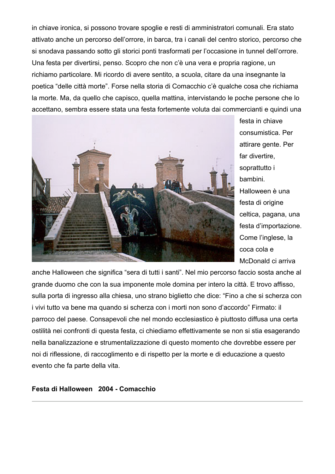in chiave ironica, si possono trovare spoglie e resti di amministratori comunali. Era stato attivato anche un percorso dell'orrore, in barca, tra i canali del centro storico, percorso che si snodava passando sotto gli storici ponti trasformati per l'occasione in tunnel dell'orrore. Una festa per divertirsi, penso. Scopro che non c'è una vera e propria ragione, un richiamo particolare. Mi ricordo di avere sentito, a scuola, citare da una insegnante la poetica "delle città morte". Forse nella storia di Comacchio c'è qualche cosa che richiama la morte. Ma, da quello che capisco, quella mattina, intervistando le poche persone che lo accettano, sembra essere stata una festa fortemente voluta dai commercianti e quindi una



festa in chiave consumistica. Per attirare gente. Per far divertire, soprattutto i bambini. Halloween è una festa di origine celtica, pagana, una festa d'importazione. Come l'inglese, la coca cola e McDonald ci arriva

anche Halloween che significa "sera di tutti i santi". Nel mio percorso faccio sosta anche al grande duomo che con la sua imponente mole domina per intero la città. E trovo affisso, sulla porta di ingresso alla chiesa, uno strano biglietto che dice: "Fino a che si scherza con i vivi tutto va bene ma quando si scherza con i morti non sono d'accordo" Firmato: il parroco del paese. Consapevoli che nel mondo ecclesiastico è piuttosto diffusa una certa ostilità nei confronti di questa festa, ci chiediamo effettivamente se non si stia esagerando nella banalizzazione e strumentalizzazione di questo momento che dovrebbe essere per noi di riflessione, di raccoglimento e di rispetto per la morte e di educazione a questo evento che fa parte della vita.

**Festa di Halloween 2004 - Comacchio**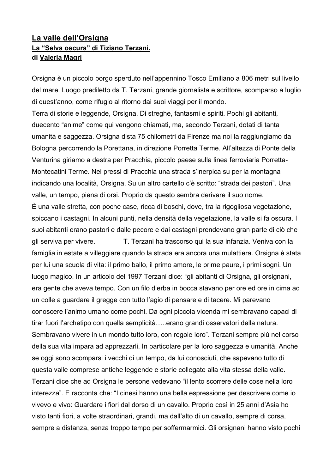## **La valle dell'Orsigna La "Selva oscura" di Tiziano Terzani. di Valeria Magri**

Orsigna è un piccolo borgo sperduto nell'appennino Tosco Emiliano a 806 metri sul livello del mare. Luogo prediletto da T. Terzani, grande giornalista e scrittore, scomparso a luglio di quest'anno, come rifugio al ritorno dai suoi viaggi per il mondo.

Terra di storie e leggende, Orsigna. Di streghe, fantasmi e spiriti. Pochi gli abitanti, duecento "anime" come qui vengono chiamati, ma, secondo Terzani, dotati di tanta umanità e saggezza. Orsigna dista 75 chilometri da Firenze ma noi la raggiungiamo da Bologna percorrendo la Porettana, in direzione Porretta Terme. All'altezza di Ponte della Venturina giriamo a destra per Pracchia, piccolo paese sulla linea ferroviaria Porretta-Montecatini Terme. Nei pressi di Pracchia una strada s'inerpica su per la montagna indicando una località, Orsigna. Su un altro cartello c'è scritto: "strada dei pastori". Una valle, un tempo, piena di orsi. Proprio da questo sembra derivare il suo nome.

È una valle stretta, con poche case, ricca di boschi, dove, tra la rigogliosa vegetazione, spiccano i castagni. In alcuni punti, nella densità della vegetazione, la valle si fa oscura. I suoi abitanti erano pastori e dalle pecore e dai castagni prendevano gran parte di ciò che

gli serviva per vivere. T. Terzani ha trascorso qui la sua infanzia. Veniva con la famiglia in estate a villeggiare quando la strada era ancora una mulattiera. Orsigna è stata per lui una scuola di vita: il primo ballo, il primo amore, le prime paure, i primi sogni. Un luogo magico. In un articolo del 1997 Terzani dice: "gli abitanti di Orsigna, gli orsignani, era gente che aveva tempo. Con un filo d'erba in bocca stavano per ore ed ore in cima ad un colle a guardare il gregge con tutto l'agio di pensare e di tacere. Mi parevano conoscere l'animo umano come pochi. Da ogni piccola vicenda mi sembravano capaci di tirar fuori l'archetipo con quella semplicità…..erano grandi osservatori della natura. Sembravano vivere in un mondo tutto loro, con regole loro". Terzani sempre più nel corso della sua vita impara ad apprezzarli. In particolare per la loro saggezza e umanità. Anche se oggi sono scomparsi i vecchi di un tempo, da lui conosciuti, che sapevano tutto di questa valle comprese antiche leggende e storie collegate alla vita stessa della valle. Terzani dice che ad Orsigna le persone vedevano "il lento scorrere delle cose nella loro interezza". E racconta che: "I cinesi hanno una bella espressione per descrivere come io vivevo e vivo: Guardare i fiori dal dorso di un cavallo. Proprio così in 25 anni d'Asia ho visto tanti fiori, a volte straordinari, grandi, ma dall'alto di un cavallo, sempre di corsa, sempre a distanza, senza troppo tempo per soffermarmici. Gli orsignani hanno visto pochi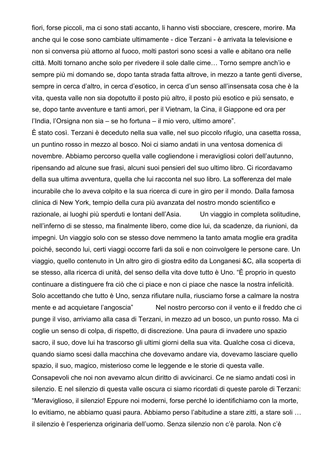fiori, forse piccoli, ma ci sono stati accanto, li hanno visti sbocciare, crescere, morire. Ma anche qui le cose sono cambiate ultimamente - dice Terzani - è arrivata la televisione e non si conversa più attorno al fuoco, molti pastori sono scesi a valle e abitano ora nelle città. Molti tornano anche solo per rivedere il sole dalle cime… Torno sempre anch'io e sempre più mi domando se, dopo tanta strada fatta altrove, in mezzo a tante genti diverse, sempre in cerca d'altro, in cerca d'esotico, in cerca d'un senso all'insensata cosa che è la vita, questa valle non sia dopotutto il posto più altro, il posto più esotico e più sensato, e se, dopo tante avventure e tanti amori, per il Vietnam, la Cina, il Giappone ed ora per l'India, l'Orsigna non sia – se ho fortuna – il mio vero, ultimo amore".

È stato così. Terzani è deceduto nella sua valle, nel suo piccolo rifugio, una casetta rossa, un puntino rosso in mezzo al bosco. Noi ci siamo andati in una ventosa domenica di novembre. Abbiamo percorso quella valle cogliendone i meravigliosi colori dell'autunno, ripensando ad alcune sue frasi, alcuni suoi pensieri del suo ultimo libro. Ci ricordavamo della sua ultima avventura, quella che lui racconta nel suo libro. La sofferenza del male incurabile che lo aveva colpito e la sua ricerca di cure in giro per il mondo. Dalla famosa clinica di New York, tempio della cura più avanzata del nostro mondo scientifico e razionale, ai luoghi più sperduti e lontani dell'Asia. Un viaggio in completa solitudine, nell'inferno di se stesso, ma finalmente libero, come dice lui, da scadenze, da riunioni, da impegni. Un viaggio solo con se stesso dove nemmeno la tanto amata moglie era gradita poiché, secondo lui, certi viaggi occorre farli da soli e non coinvolgere le persone care. Un viaggio, quello contenuto in Un altro giro di giostra edito da Longanesi &C, alla scoperta di se stesso, alla ricerca di unità, del senso della vita dove tutto è Uno. "È proprio in questo continuare a distinguere fra ciò che ci piace e non ci piace che nasce la nostra infelicità. Solo accettando che tutto è Uno, senza rifiutare nulla, riusciamo forse a calmare la nostra mente e ad acquietare l'angoscia" Nel nostro percorso con il vento e il freddo che ci punge il viso, arriviamo alla casa di Terzani, in mezzo ad un bosco, un punto rosso. Ma ci coglie un senso di colpa, di rispetto, di discrezione. Una paura di invadere uno spazio sacro, il suo, dove lui ha trascorso gli ultimi giorni della sua vita. Qualche cosa ci diceva, quando siamo scesi dalla macchina che dovevamo andare via, dovevamo lasciare quello spazio, il suo, magico, misterioso come le leggende e le storie di questa valle. Consapevoli che noi non avevamo alcun diritto di avvicinarci. Ce ne siamo andati così in

silenzio. E nel silenzio di questa valle oscura ci siamo ricordati di queste parole di Terzani: "Meraviglioso, il silenzio! Eppure noi moderni, forse perché lo identifichiamo con la morte, lo evitiamo, ne abbiamo quasi paura. Abbiamo perso l'abitudine a stare zitti, a stare soli … il silenzio è l'esperienza originaria dell'uomo. Senza silenzio non c'è parola. Non c'è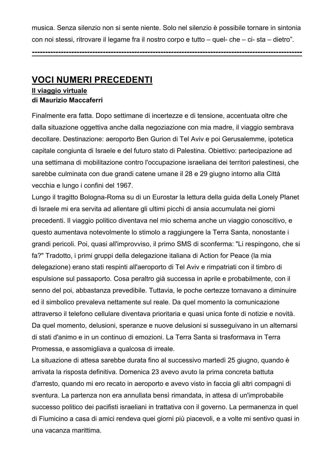musica. Senza silenzio non si sente niente. Solo nel silenzio è possibile tornare in sintonia con noi stessi, ritrovare il legame fra il nostro corpo e tutto – quel- che – ci- sta – dietro".

**-------------------------------------------------------------------------------------------------------**

# **VOCI NUMERI PRECEDENTI**

#### **Il viaggio virtuale di Maurizio Maccaferri**

Finalmente era fatta. Dopo settimane di incertezze e di tensione, accentuata oltre che dalla situazione oggettiva anche dalla negoziazione con mia madre, il viaggio sembrava decollare. Destinazione: aeroporto Ben Gurion di Tel Aviv e poi Gerusalemme, ipotetica capitale congiunta di Israele e del futuro stato di Palestina. Obiettivo: partecipazione ad una settimana di mobilitazione contro l'occupazione israeliana dei territori palestinesi, che sarebbe culminata con due grandi catene umane il 28 e 29 giugno intorno alla Città vecchia e lungo i confini del 1967.

Lungo il tragitto Bologna-Roma su di un Eurostar la lettura della guida della Lonely Planet di Israele mi era servita ad allentare gli ultimi picchi di ansia accumulata nei giorni precedenti. Il viaggio politico diventava nel mio schema anche un viaggio conoscitivo, e questo aumentava notevolmente lo stimolo a raggiungere la Terra Santa, nonostante i grandi pericoli. Poi, quasi all'improvviso, il primo SMS di sconferma: "Li respingono, che si fa?" Tradotto, i primi gruppi della delegazione italiana di Action for Peace (la mia delegazione) erano stati respinti all'aeroporto di Tel Aviv e rimpatriati con il timbro di espulsione sul passaporto. Cosa peraltro già successa in aprile e probabilmente, con il senno del poi, abbastanza prevedibile. Tuttavia, le poche certezze tornavano a diminuire ed il simbolico prevaleva nettamente sul reale. Da quel momento la comunicazione attraverso il telefono cellulare diventava prioritaria e quasi unica fonte di notizie e novità. Da quel momento, delusioni, speranze e nuove delusioni si susseguivano in un alternarsi di stati d'animo e in un continuo di emozioni. La Terra Santa si trasformava in Terra Promessa, e assomigliava a qualcosa di irreale.

La situazione di attesa sarebbe durata fino al successivo martedì 25 giugno, quando è arrivata la risposta definitiva. Domenica 23 avevo avuto la prima concreta battuta d'arresto, quando mi ero recato in aeroporto e avevo visto in faccia gli altri compagni di sventura. La partenza non era annullata bensì rimandata, in attesa di un'improbabile successo politico dei pacifisti israeliani in trattativa con il governo. La permanenza in quel di Fiumicino a casa di amici rendeva quei giorni più piacevoli, e a volte mi sentivo quasi in una vacanza marittima.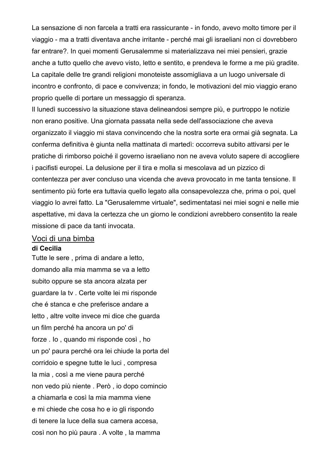La sensazione di non farcela a tratti era rassicurante - in fondo, avevo molto timore per il viaggio - ma a tratti diventava anche irritante - perché mai gli israeliani non ci dovrebbero far entrare?. In quei momenti Gerusalemme si materializzava nei miei pensieri, grazie anche a tutto quello che avevo visto, letto e sentito, e prendeva le forme a me più gradite. La capitale delle tre grandi religioni monoteiste assomigliava a un luogo universale di incontro e confronto, di pace e convivenza; in fondo, le motivazioni del mio viaggio erano proprio quelle di portare un messaggio di speranza.

Il lunedì successivo la situazione stava delineandosi sempre più, e purtroppo le notizie non erano positive. Una giornata passata nella sede dell'associazione che aveva organizzato il viaggio mi stava convincendo che la nostra sorte era ormai già segnata. La conferma definitiva è giunta nella mattinata di martedì: occorreva subito attivarsi per le pratiche di rimborso poiché il governo israeliano non ne aveva voluto sapere di accogliere i pacifisti europei. La delusione per il tira e molla si mescolava ad un pizzico di contentezza per aver concluso una vicenda che aveva provocato in me tanta tensione. Il sentimento più forte era tuttavia quello legato alla consapevolezza che, prima o poi, quel viaggio lo avrei fatto. La "Gerusalemme virtuale", sedimentatasi nei miei sogni e nelle mie aspettative, mi dava la certezza che un giorno le condizioni avrebbero consentito la reale missione di pace da tanti invocata.

#### Voci di una bimba

#### **di Cecilia**

Tutte le sere , prima di andare a letto, domando alla mia mamma se va a letto subito oppure se sta ancora alzata per guardare la tv . Certe volte lei mi risponde che é stanca e che preferisce andare a letto , altre volte invece mi dice che guarda un film perché ha ancora un po' di forze . Io , quando mi risponde così , ho un po' paura perché ora lei chiude la porta del corridoio e spegne tutte le luci , compresa la mia , così a me viene paura perché non vedo più niente . Però , io dopo comincio a chiamarla e così la mia mamma viene e mi chiede che cosa ho e io gli rispondo di tenere la luce della sua camera accesa, così non ho più paura . A volte , la mamma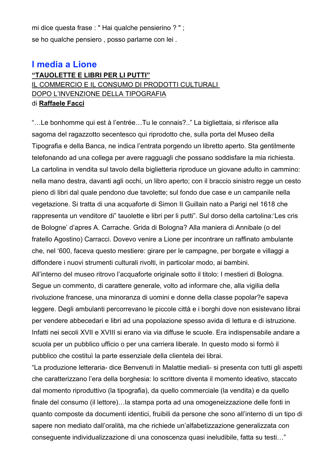mi dice questa frase : " Hai qualche pensierino ? " ; se ho qualche pensiero , posso parlarne con lei .

# **I media a Lione**

#### **"TAUOLETTE E LIBRI PER LI PUTTI"** IL COMMERCIO E IL CONSUMO DI PRODOTTI CULTURALI DOPO L'INVENZIONE DELLA TIPOGRAFIA di **Raffaele Facci**

"…Le bonhomme qui est à l'entrée…Tu le connais?.." La bigliettaia, si riferisce alla sagoma del ragazzotto secentesco qui riprodotto che, sulla porta del Museo della Tipografia e della Banca, ne indica l'entrata porgendo un libretto aperto. Sta gentilmente telefonando ad una collega per avere ragguagli che possano soddisfare la mia richiesta. La cartolina in vendita sul tavolo della biglietteria riproduce un giovane adulto in cammino: nella mano destra, davanti agli occhi, un libro aperto; con il braccio sinistro regge un cesto pieno di libri dal quale pendono due tavolette; sul fondo due case e un campanile nella vegetazione. Si tratta di una acquaforte di Simon II Guillain nato a Parigi nel 1618 che rappresenta un venditore di" tauolette e libri per li putti". Sul dorso della cartolina:'Les cris de Bologne' d'apres A. Carrache. Grida di Bologna? Alla maniera di Annibale (o del fratello Agostino) Carracci. Dovevo venire a Lione per incontrare un raffinato ambulante che, nel '600, faceva questo mestiere: girare per le campagne, per borgate e villaggi a diffondere i nuovi strumenti culturali rivolti, in particolar modo, ai bambini. All'interno del museo ritrovo l'acquaforte originale sotto il titolo: I mestieri di Bologna. Segue un commento, di carattere generale, volto ad informare che, alla vigilia della rivoluzione francese, una minoranza di uomini e donne della classe popolar?e sapeva leggere. Degli ambulanti percorrevano le piccole città e i borghi dove non esistevano librai per vendere abbecedari e libri ad una popolazione spesso avida di lettura e di istruzione. Infatti nei secoli XVII e XVIII si erano via via diffuse le scuole. Era indispensabile andare a scuola per un pubblico ufficio o per una carriera liberale. In questo modo si formò il pubblico che costituì la parte essenziale della clientela dei librai.

"La produzione letteraria- dice Benvenuti in Malattie mediali- si presenta con tutti gli aspetti che caratterizzano l'era della borghesia: lo scrittore diventa il momento ideativo, staccato dal momento riproduttivo (la tipografia), da quello commerciale (la vendita) e da quello finale del consumo (il lettore)…la stampa porta ad una omogeneizzazione delle fonti in quanto composte da documenti identici, fruibili da persone che sono all'interno di un tipo di sapere non mediato dall'oralità, ma che richiede un'alfabetizzazione generalizzata con conseguente individualizzazione di una conoscenza quasi ineludibile, fatta su testi…"